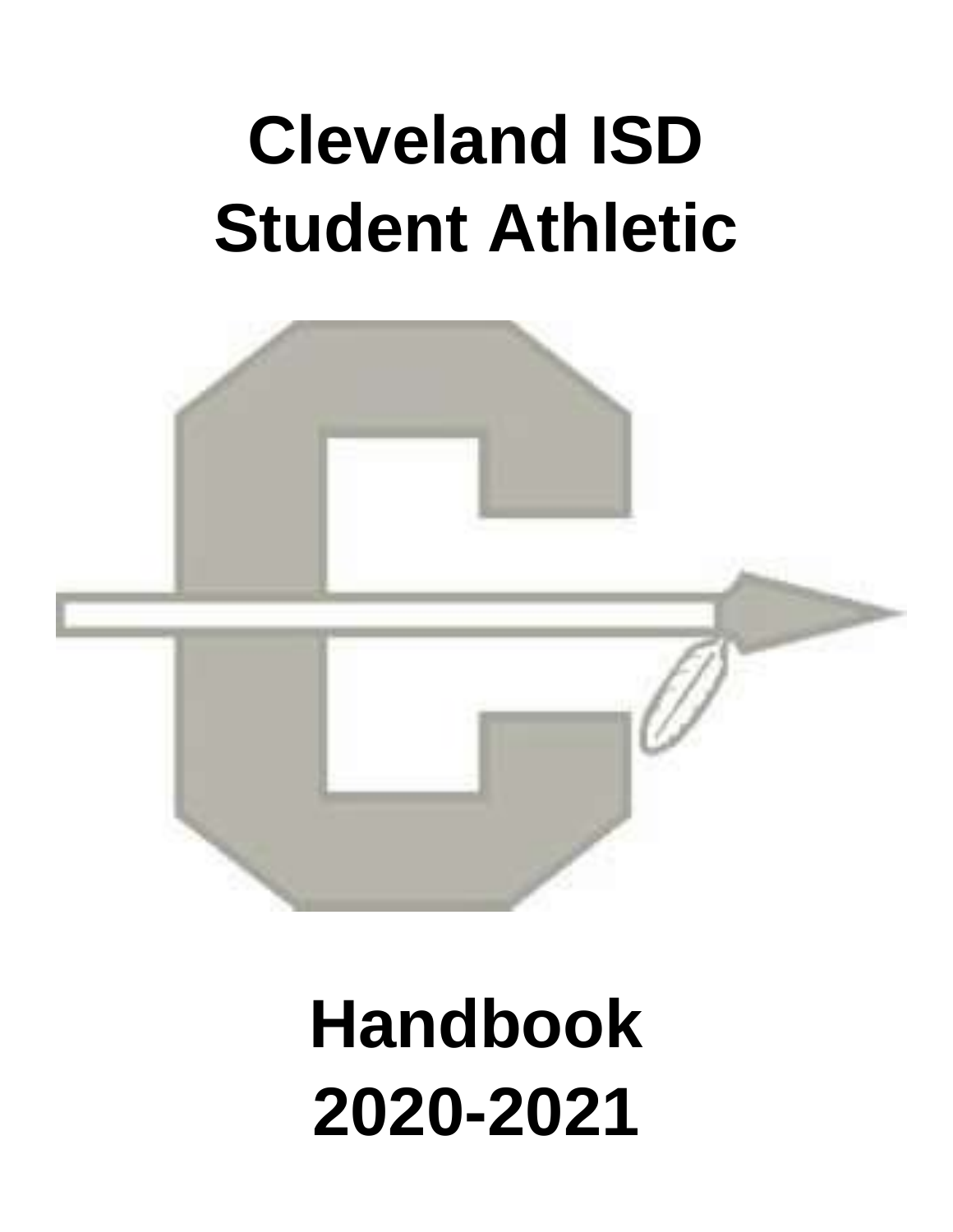# **Cleveland ISD Student Athletic**



## **Handbook 2020-2021**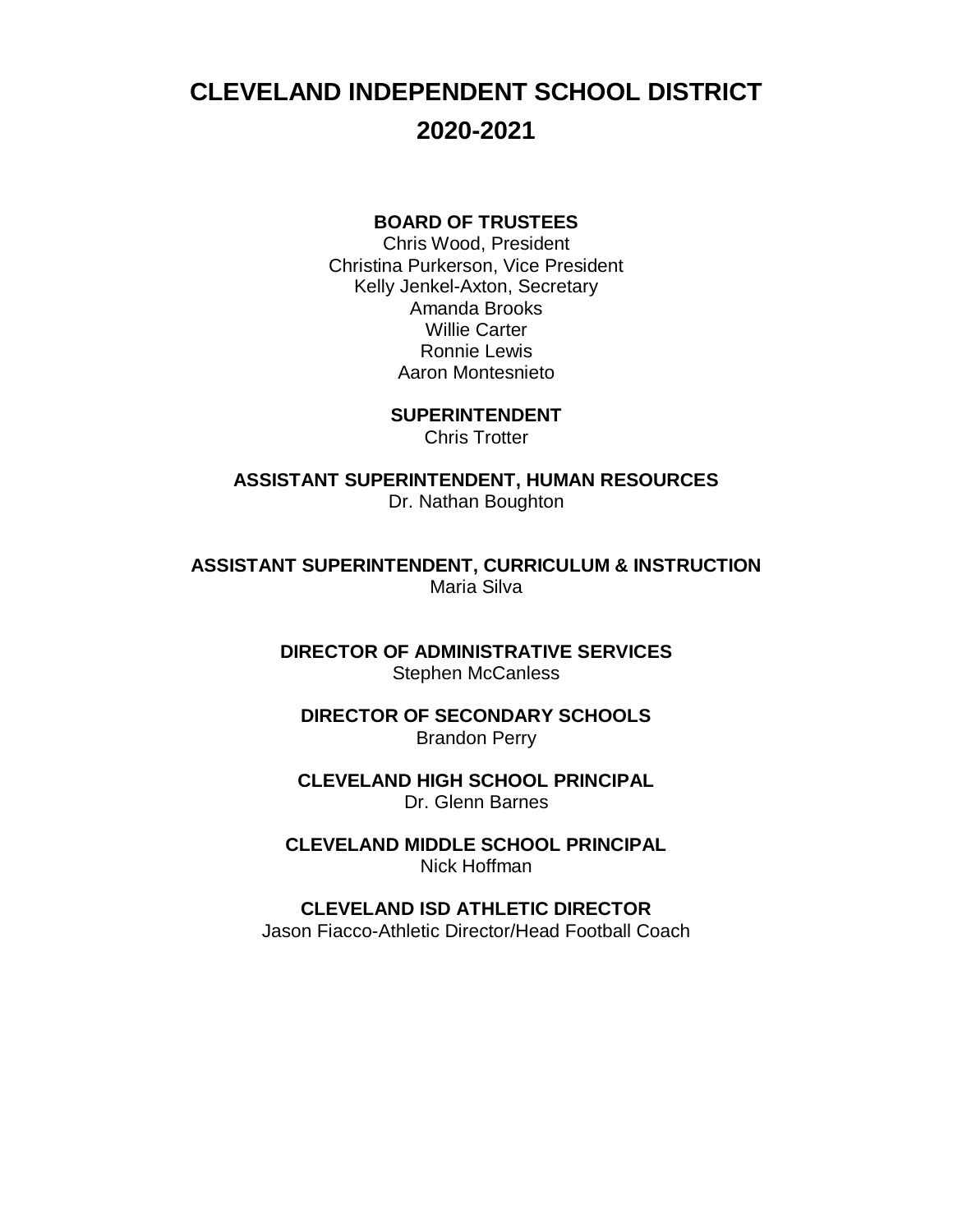## **CLEVELAND INDEPENDENT SCHOOL DISTRICT 2020-2021**

#### **BOARD OF TRUSTEES**

Chris Wood, President Christina Purkerson, Vice President Kelly Jenkel-Axton, Secretary Amanda Brooks Willie Carter Ronnie Lewis Aaron Montesnieto

> **SUPERINTENDENT** Chris Trotter

**ASSISTANT SUPERINTENDENT, HUMAN RESOURCES** Dr. Nathan Boughton

**ASSISTANT SUPERINTENDENT, CURRICULUM & INSTRUCTION** Maria Silva

> **DIRECTOR OF ADMINISTRATIVE SERVICES** Stephen McCanless

**DIRECTOR OF SECONDARY SCHOOLS** Brandon Perry

**CLEVELAND HIGH SCHOOL PRINCIPAL** Dr. Glenn Barnes

**CLEVELAND MIDDLE SCHOOL PRINCIPAL** Nick Hoffman

**CLEVELAND ISD ATHLETIC DIRECTOR** Jason Fiacco-Athletic Director/Head Football Coach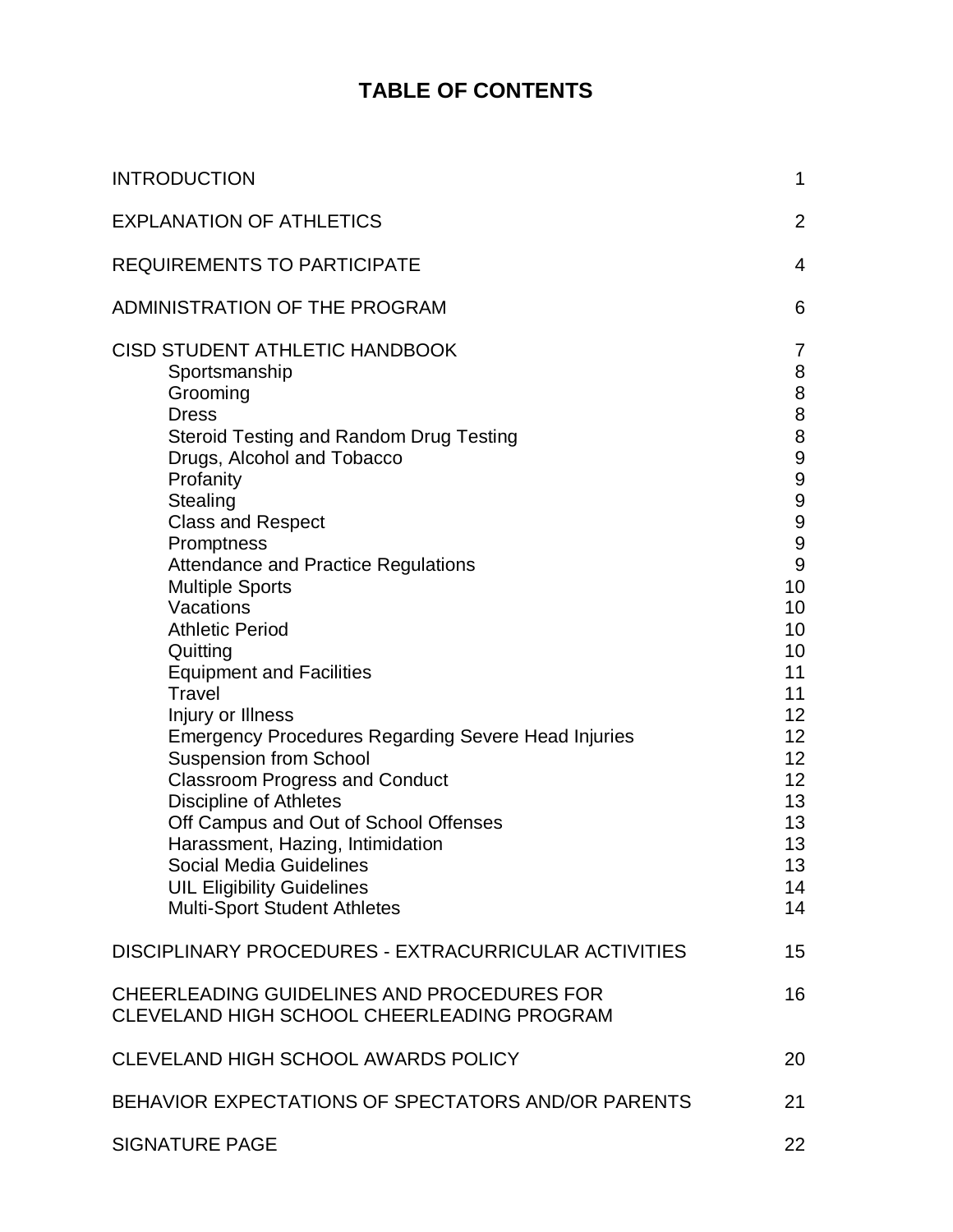## **TABLE OF CONTENTS**

| <b>INTRODUCTION</b>                                                                                                                                                                                                                                                                                                                                                                                                                                                                                                                                                                                                                                                                                                                                                                                    | $\mathbf 1$                                                                                                                                                                                          |
|--------------------------------------------------------------------------------------------------------------------------------------------------------------------------------------------------------------------------------------------------------------------------------------------------------------------------------------------------------------------------------------------------------------------------------------------------------------------------------------------------------------------------------------------------------------------------------------------------------------------------------------------------------------------------------------------------------------------------------------------------------------------------------------------------------|------------------------------------------------------------------------------------------------------------------------------------------------------------------------------------------------------|
| <b>EXPLANATION OF ATHLETICS</b>                                                                                                                                                                                                                                                                                                                                                                                                                                                                                                                                                                                                                                                                                                                                                                        | $\overline{2}$                                                                                                                                                                                       |
| <b>REQUIREMENTS TO PARTICIPATE</b>                                                                                                                                                                                                                                                                                                                                                                                                                                                                                                                                                                                                                                                                                                                                                                     | 4                                                                                                                                                                                                    |
| ADMINISTRATION OF THE PROGRAM                                                                                                                                                                                                                                                                                                                                                                                                                                                                                                                                                                                                                                                                                                                                                                          | 6                                                                                                                                                                                                    |
| <b>CISD STUDENT ATHLETIC HANDBOOK</b><br>Sportsmanship<br>Grooming<br><b>Dress</b><br><b>Steroid Testing and Random Drug Testing</b><br>Drugs, Alcohol and Tobacco<br>Profanity<br>Stealing<br><b>Class and Respect</b><br>Promptness<br><b>Attendance and Practice Regulations</b><br><b>Multiple Sports</b><br>Vacations<br><b>Athletic Period</b><br>Quitting<br><b>Equipment and Facilities</b><br>Travel<br>Injury or Illness<br><b>Emergency Procedures Regarding Severe Head Injuries</b><br><b>Suspension from School</b><br><b>Classroom Progress and Conduct</b><br><b>Discipline of Athletes</b><br>Off Campus and Out of School Offenses<br>Harassment, Hazing, Intimidation<br><b>Social Media Guidelines</b><br><b>UIL Eligibility Guidelines</b><br><b>Multi-Sport Student Athletes</b> | 7<br>8<br>8<br>8<br>$\bf 8$<br>9<br>9<br>$\boldsymbol{9}$<br>9<br>$\boldsymbol{9}$<br>$\overline{9}$<br>10<br>10<br>10<br>10<br>11<br>11<br>12<br>12<br>12<br>12<br>13<br>13<br>13<br>13<br>14<br>14 |
| DISCIPLINARY PROCEDURES - EXTRACURRICULAR ACTIVITIES                                                                                                                                                                                                                                                                                                                                                                                                                                                                                                                                                                                                                                                                                                                                                   | 15                                                                                                                                                                                                   |
| CHEERLEADING GUIDELINES AND PROCEDURES FOR<br>CLEVELAND HIGH SCHOOL CHEERLEADING PROGRAM                                                                                                                                                                                                                                                                                                                                                                                                                                                                                                                                                                                                                                                                                                               | 16                                                                                                                                                                                                   |
| CLEVELAND HIGH SCHOOL AWARDS POLICY                                                                                                                                                                                                                                                                                                                                                                                                                                                                                                                                                                                                                                                                                                                                                                    | 20                                                                                                                                                                                                   |
| BEHAVIOR EXPECTATIONS OF SPECTATORS AND/OR PARENTS                                                                                                                                                                                                                                                                                                                                                                                                                                                                                                                                                                                                                                                                                                                                                     | 21                                                                                                                                                                                                   |
| <b>SIGNATURE PAGE</b>                                                                                                                                                                                                                                                                                                                                                                                                                                                                                                                                                                                                                                                                                                                                                                                  | 22                                                                                                                                                                                                   |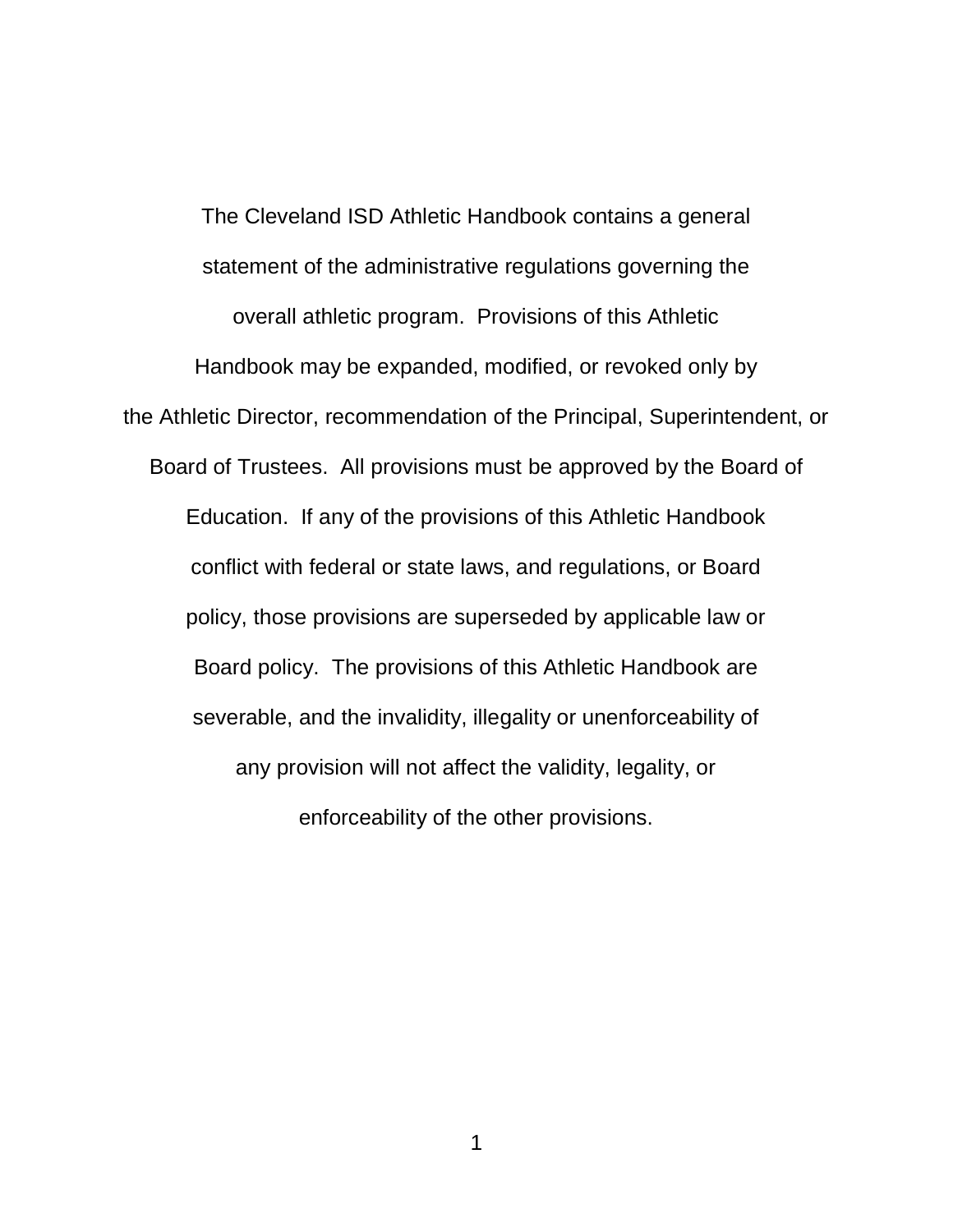The Cleveland ISD Athletic Handbook contains a general statement of the administrative regulations governing the overall athletic program. Provisions of this Athletic Handbook may be expanded, modified, or revoked only by the Athletic Director, recommendation of the Principal, Superintendent, or Board of Trustees. All provisions must be approved by the Board of Education. If any of the provisions of this Athletic Handbook conflict with federal or state laws, and regulations, or Board policy, those provisions are superseded by applicable law or Board policy. The provisions of this Athletic Handbook are severable, and the invalidity, illegality or unenforceability of any provision will not affect the validity, legality, or enforceability of the other provisions.

1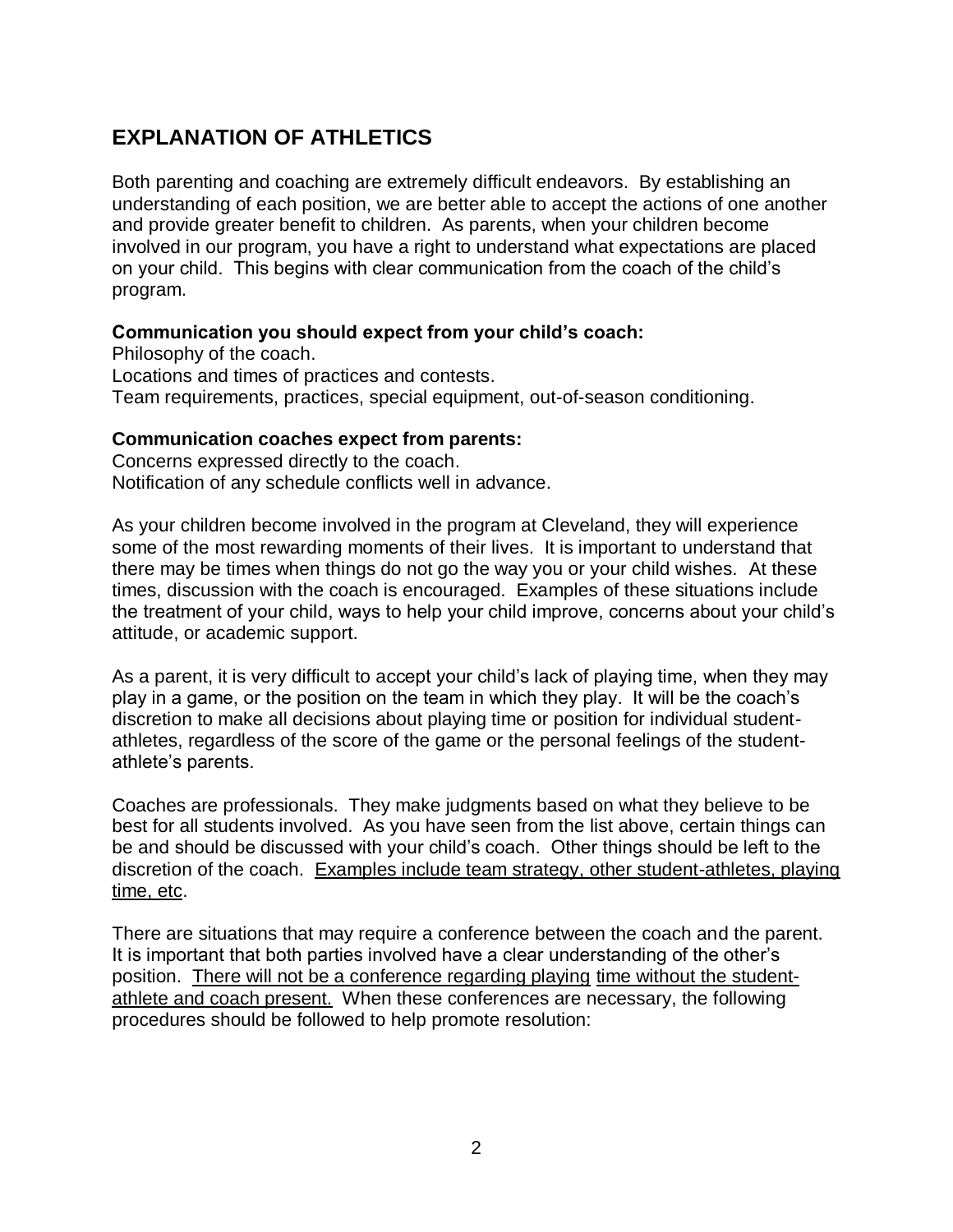## **EXPLANATION OF ATHLETICS**

Both parenting and coaching are extremely difficult endeavors. By establishing an understanding of each position, we are better able to accept the actions of one another and provide greater benefit to children. As parents, when your children become involved in our program, you have a right to understand what expectations are placed on your child. This begins with clear communication from the coach of the child's program.

#### **Communication you should expect from your child's coach:**

Philosophy of the coach. Locations and times of practices and contests. Team requirements, practices, special equipment, out-of-season conditioning.

#### **Communication coaches expect from parents:**

Concerns expressed directly to the coach. Notification of any schedule conflicts well in advance.

As your children become involved in the program at Cleveland, they will experience some of the most rewarding moments of their lives. It is important to understand that there may be times when things do not go the way you or your child wishes. At these times, discussion with the coach is encouraged. Examples of these situations include the treatment of your child, ways to help your child improve, concerns about your child's attitude, or academic support.

As a parent, it is very difficult to accept your child's lack of playing time, when they may play in a game, or the position on the team in which they play. It will be the coach's discretion to make all decisions about playing time or position for individual studentathletes, regardless of the score of the game or the personal feelings of the studentathlete's parents.

Coaches are professionals. They make judgments based on what they believe to be best for all students involved. As you have seen from the list above, certain things can be and should be discussed with your child's coach. Other things should be left to the discretion of the coach. Examples include team strategy, other student-athletes, playing time, etc.

There are situations that may require a conference between the coach and the parent. It is important that both parties involved have a clear understanding of the other's position. There will not be a conference regarding playing time without the studentathlete and coach present. When these conferences are necessary, the following procedures should be followed to help promote resolution: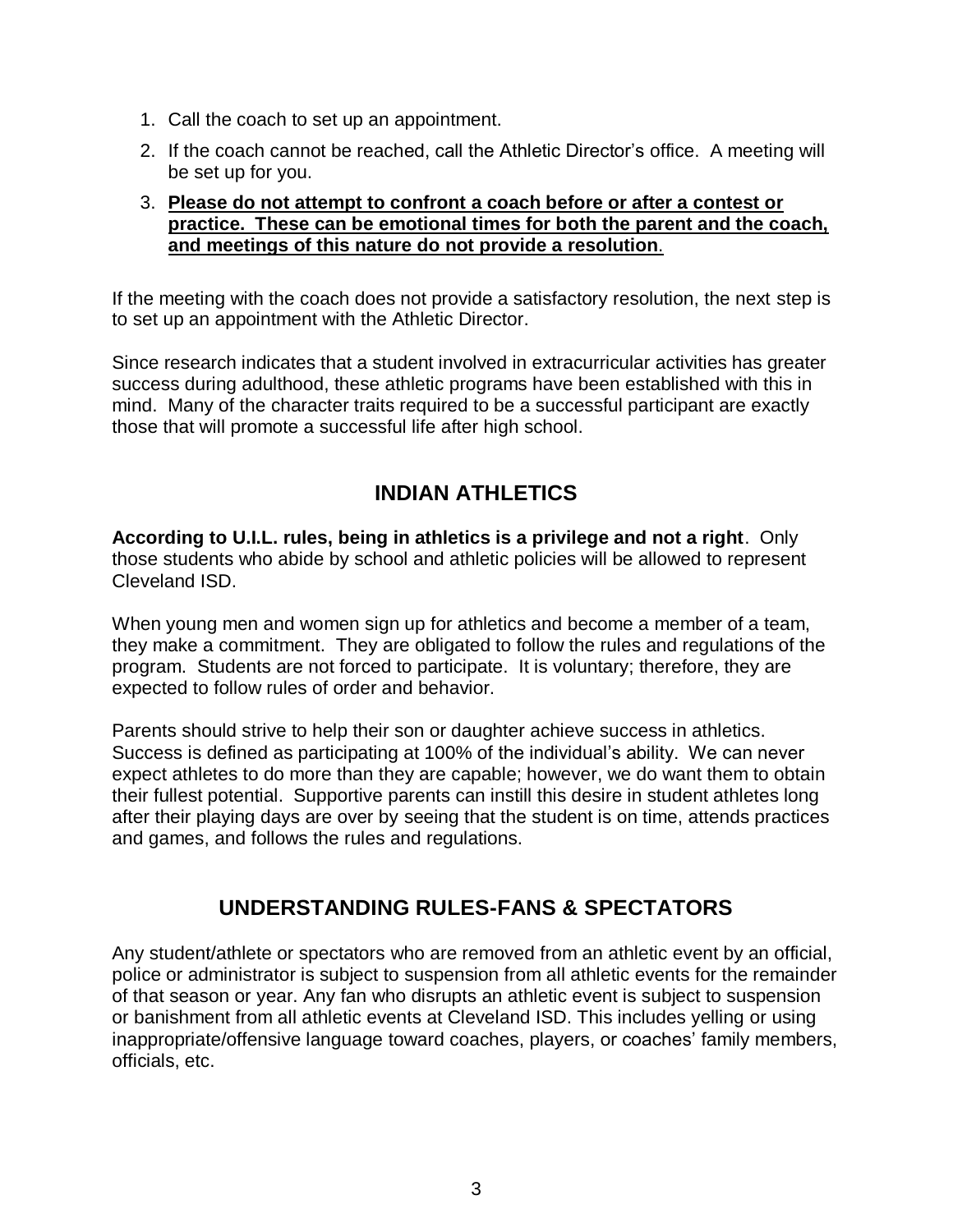- 1. Call the coach to set up an appointment.
- 2. If the coach cannot be reached, call the Athletic Director's office. A meeting will be set up for you.

#### 3. **Please do not attempt to confront a coach before or after a contest or practice. These can be emotional times for both the parent and the coach, and meetings of this nature do not provide a resolution**.

If the meeting with the coach does not provide a satisfactory resolution, the next step is to set up an appointment with the Athletic Director.

Since research indicates that a student involved in extracurricular activities has greater success during adulthood, these athletic programs have been established with this in mind. Many of the character traits required to be a successful participant are exactly those that will promote a successful life after high school.

## **INDIAN ATHLETICS**

**According to U.I.L. rules, being in athletics is a privilege and not a right**. Only those students who abide by school and athletic policies will be allowed to represent Cleveland ISD.

When young men and women sign up for athletics and become a member of a team, they make a commitment. They are obligated to follow the rules and regulations of the program. Students are not forced to participate. It is voluntary; therefore, they are expected to follow rules of order and behavior.

Parents should strive to help their son or daughter achieve success in athletics. Success is defined as participating at 100% of the individual's ability. We can never expect athletes to do more than they are capable; however, we do want them to obtain their fullest potential. Supportive parents can instill this desire in student athletes long after their playing days are over by seeing that the student is on time, attends practices and games, and follows the rules and regulations.

## **UNDERSTANDING RULES-FANS & SPECTATORS**

Any student/athlete or spectators who are removed from an athletic event by an official, police or administrator is subject to suspension from all athletic events for the remainder of that season or year. Any fan who disrupts an athletic event is subject to suspension or banishment from all athletic events at Cleveland ISD. This includes yelling or using inappropriate/offensive language toward coaches, players, or coaches' family members, officials, etc.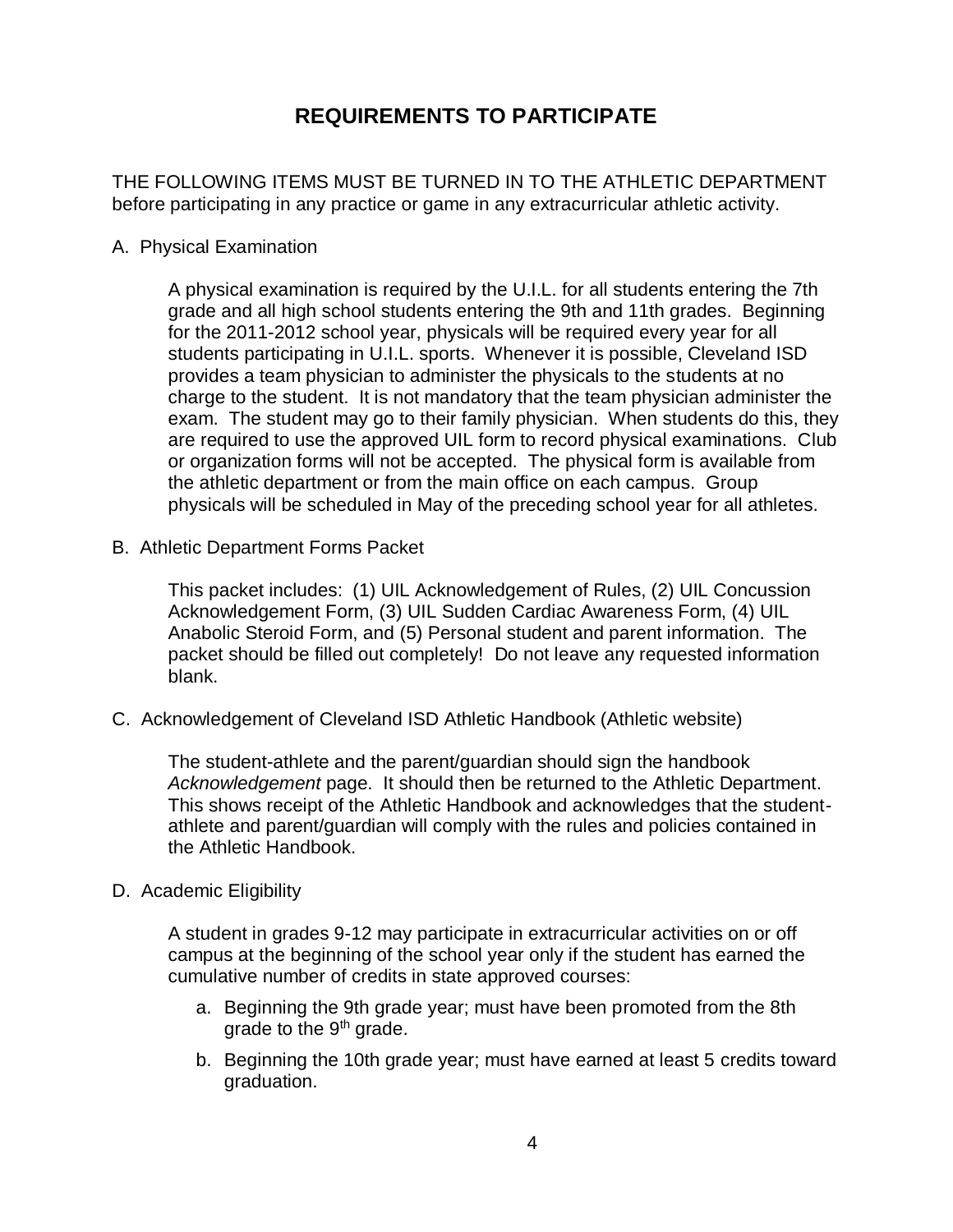## **REQUIREMENTS TO PARTICIPATE**

THE FOLLOWING ITEMS MUST BE TURNED IN TO THE ATHLETIC DEPARTMENT before participating in any practice or game in any extracurricular athletic activity.

A. Physical Examination

A physical examination is required by the U.I.L. for all students entering the 7th grade and all high school students entering the 9th and 11th grades. Beginning for the 2011-2012 school year, physicals will be required every year for all students participating in U.I.L. sports. Whenever it is possible, Cleveland ISD provides a team physician to administer the physicals to the students at no charge to the student. It is not mandatory that the team physician administer the exam. The student may go to their family physician. When students do this, they are required to use the approved UIL form to record physical examinations. Club or organization forms will not be accepted. The physical form is available from the athletic department or from the main office on each campus. Group physicals will be scheduled in May of the preceding school year for all athletes.

B. Athletic Department Forms Packet

This packet includes: (1) UIL Acknowledgement of Rules, (2) UIL Concussion Acknowledgement Form, (3) UIL Sudden Cardiac Awareness Form, (4) UIL Anabolic Steroid Form, and (5) Personal student and parent information. The packet should be filled out completely! Do not leave any requested information blank.

C. Acknowledgement of Cleveland ISD Athletic Handbook (Athletic website)

The student-athlete and the parent/guardian should sign the handbook *Acknowledgement* page. It should then be returned to the Athletic Department. This shows receipt of the Athletic Handbook and acknowledges that the studentathlete and parent/guardian will comply with the rules and policies contained in the Athletic Handbook.

#### D. Academic Eligibility

A student in grades 9-12 may participate in extracurricular activities on or off campus at the beginning of the school year only if the student has earned the cumulative number of credits in state approved courses:

- a. Beginning the 9th grade year; must have been promoted from the 8th arade to the  $9<sup>th</sup>$  grade.
- b. Beginning the 10th grade year; must have earned at least 5 credits toward graduation.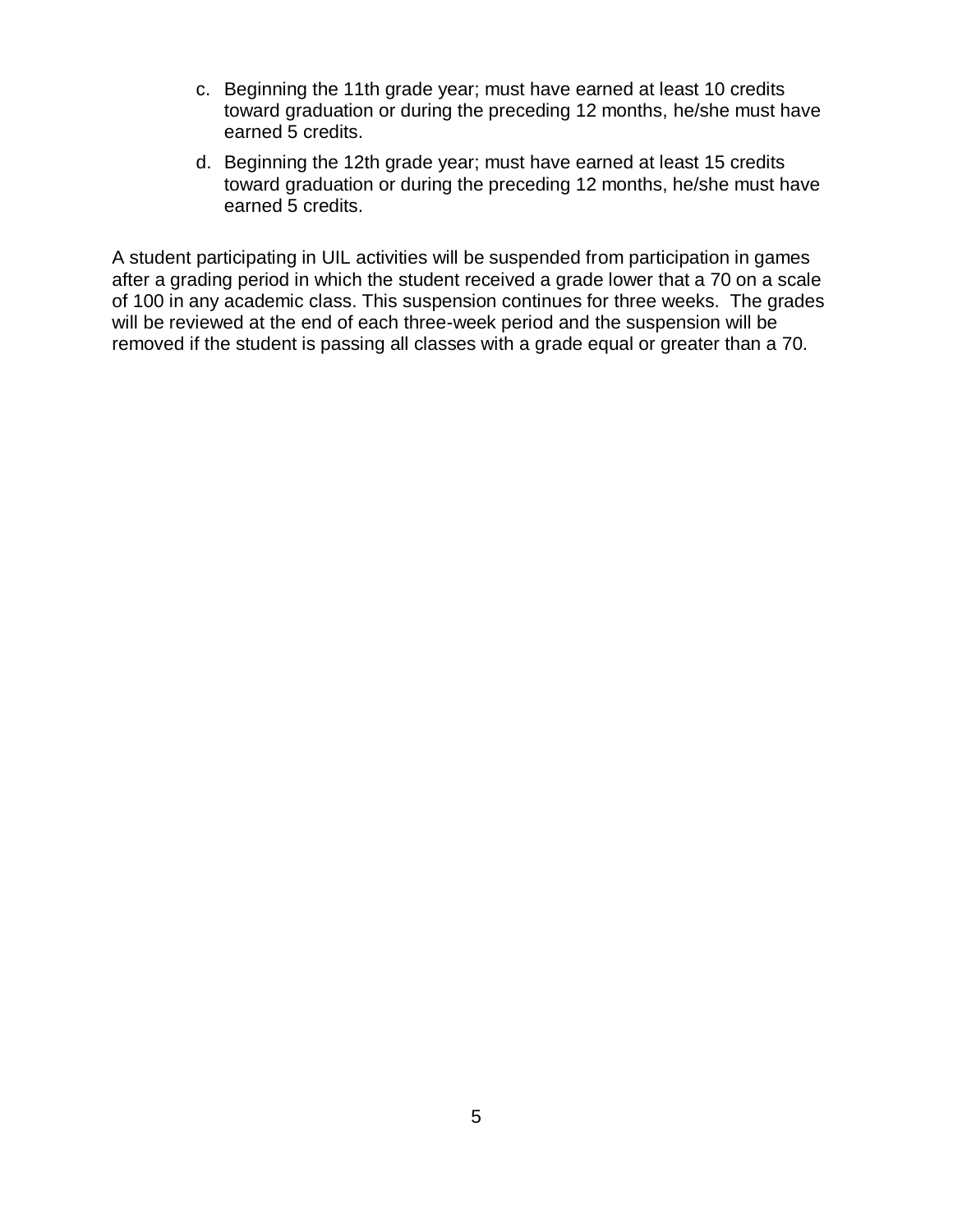- c. Beginning the 11th grade year; must have earned at least 10 credits toward graduation or during the preceding 12 months, he/she must have earned 5 credits.
- d. Beginning the 12th grade year; must have earned at least 15 credits toward graduation or during the preceding 12 months, he/she must have earned 5 credits.

A student participating in UIL activities will be suspended from participation in games after a grading period in which the student received a grade lower that a 70 on a scale of 100 in any academic class. This suspension continues for three weeks. The grades will be reviewed at the end of each three-week period and the suspension will be removed if the student is passing all classes with a grade equal or greater than a 70.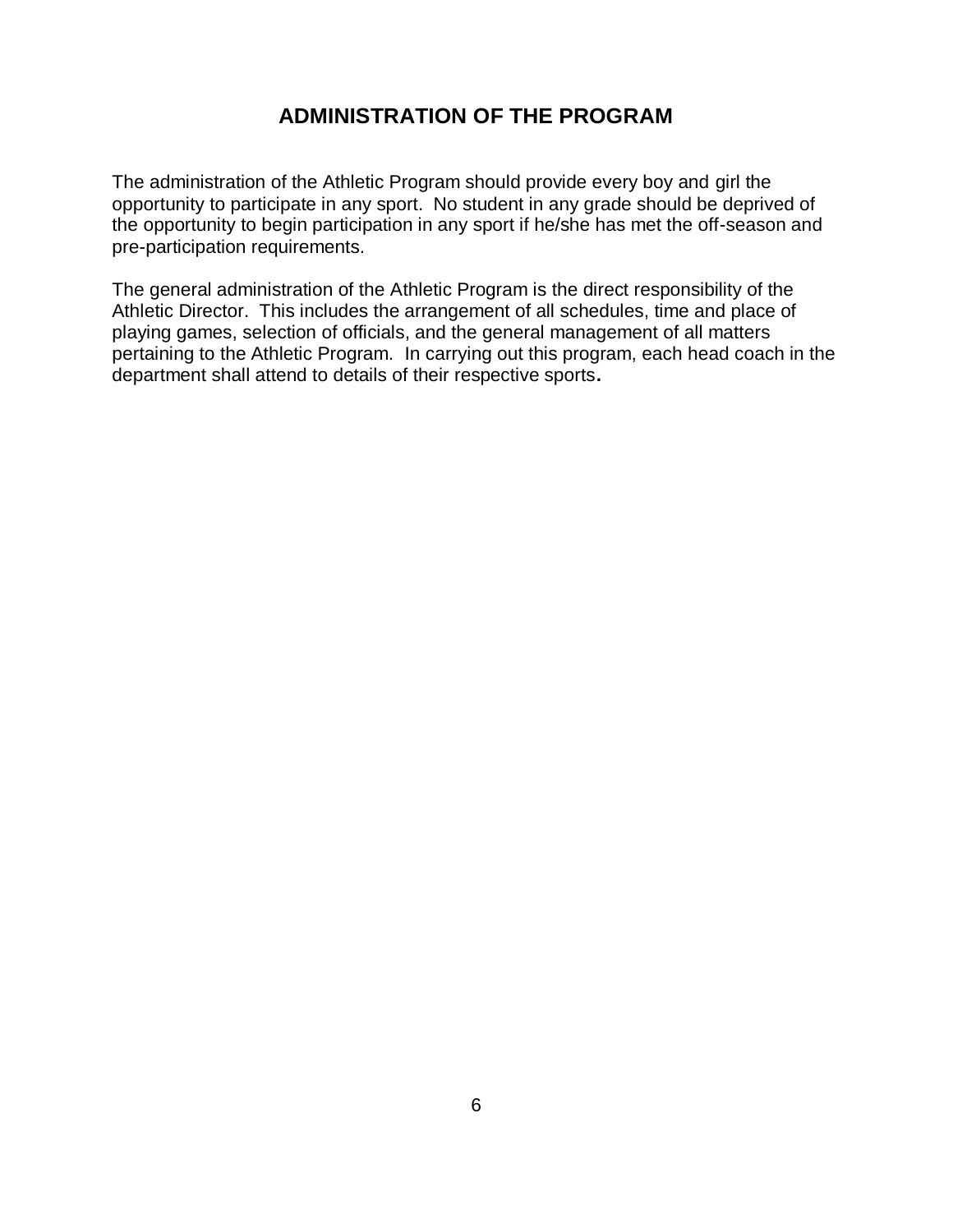#### **ADMINISTRATION OF THE PROGRAM**

The administration of the Athletic Program should provide every boy and girl the opportunity to participate in any sport. No student in any grade should be deprived of the opportunity to begin participation in any sport if he/she has met the off-season and pre-participation requirements.

The general administration of the Athletic Program is the direct responsibility of the Athletic Director. This includes the arrangement of all schedules, time and place of playing games, selection of officials, and the general management of all matters pertaining to the Athletic Program. In carrying out this program, each head coach in the department shall attend to details of their respective sports**.**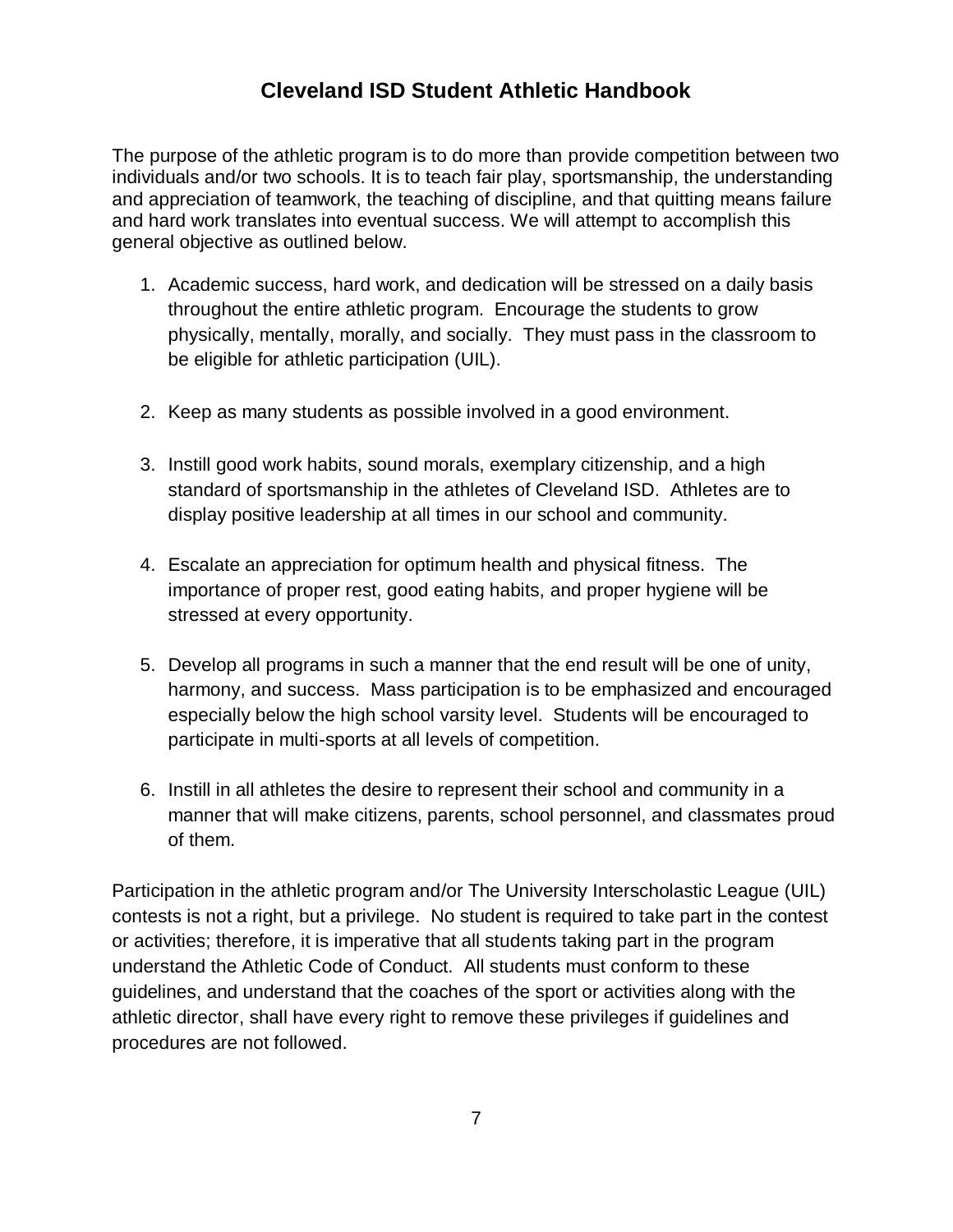### **Cleveland ISD Student Athletic Handbook**

The purpose of the athletic program is to do more than provide competition between two individuals and/or two schools. It is to teach fair play, sportsmanship, the understanding and appreciation of teamwork, the teaching of discipline, and that quitting means failure and hard work translates into eventual success. We will attempt to accomplish this general objective as outlined below.

- 1. Academic success, hard work, and dedication will be stressed on a daily basis throughout the entire athletic program. Encourage the students to grow physically, mentally, morally, and socially. They must pass in the classroom to be eligible for athletic participation (UIL).
- 2. Keep as many students as possible involved in a good environment.
- 3. Instill good work habits, sound morals, exemplary citizenship, and a high standard of sportsmanship in the athletes of Cleveland ISD. Athletes are to display positive leadership at all times in our school and community.
- 4. Escalate an appreciation for optimum health and physical fitness. The importance of proper rest, good eating habits, and proper hygiene will be stressed at every opportunity.
- 5. Develop all programs in such a manner that the end result will be one of unity, harmony, and success. Mass participation is to be emphasized and encouraged especially below the high school varsity level. Students will be encouraged to participate in multi-sports at all levels of competition.
- 6. Instill in all athletes the desire to represent their school and community in a manner that will make citizens, parents, school personnel, and classmates proud of them.

Participation in the athletic program and/or The University Interscholastic League (UIL) contests is not a right, but a privilege. No student is required to take part in the contest or activities; therefore, it is imperative that all students taking part in the program understand the Athletic Code of Conduct. All students must conform to these guidelines, and understand that the coaches of the sport or activities along with the athletic director, shall have every right to remove these privileges if guidelines and procedures are not followed.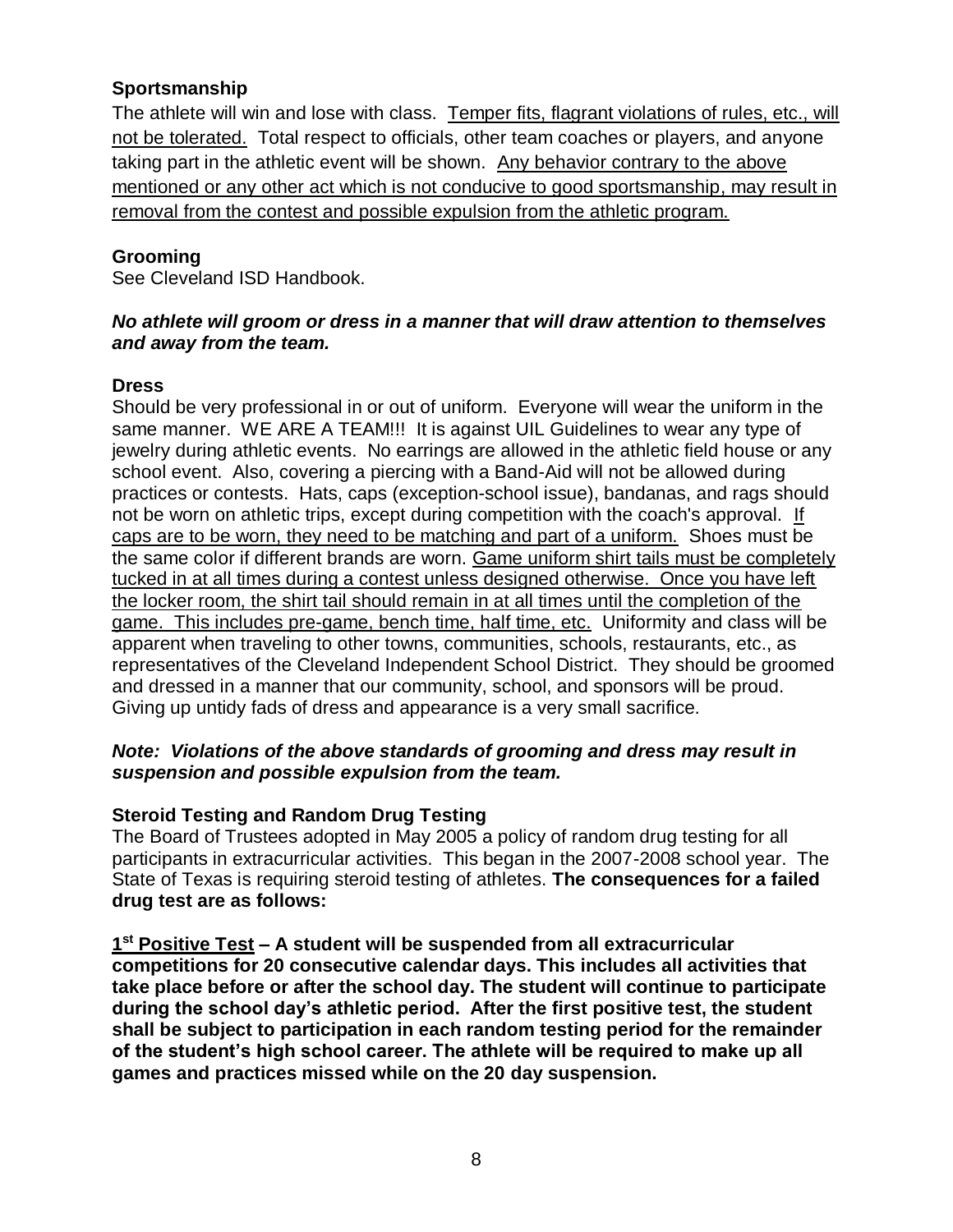#### **Sportsmanship**

The athlete will win and lose with class. Temper fits, flagrant violations of rules, etc., will not be tolerated. Total respect to officials, other team coaches or players, and anyone taking part in the athletic event will be shown. Any behavior contrary to the above mentioned or any other act which is not conducive to good sportsmanship, may result in removal from the contest and possible expulsion from the athletic program.

#### **Grooming**

See Cleveland ISD Handbook.

#### *No athlete will groom or dress in a manner that will draw attention to themselves and away from the team.*

#### **Dress**

Should be very professional in or out of uniform. Everyone will wear the uniform in the same manner. WE ARE A TEAM!!! It is against UIL Guidelines to wear any type of jewelry during athletic events. No earrings are allowed in the athletic field house or any school event. Also, covering a piercing with a Band-Aid will not be allowed during practices or contests. Hats, caps (exception-school issue), bandanas, and rags should not be worn on athletic trips, except during competition with the coach's approval. If caps are to be worn, they need to be matching and part of a uniform. Shoes must be the same color if different brands are worn. Game uniform shirt tails must be completely tucked in at all times during a contest unless designed otherwise. Once you have left the locker room, the shirt tail should remain in at all times until the completion of the game. This includes pre-game, bench time, half time, etc. Uniformity and class will be apparent when traveling to other towns, communities, schools, restaurants, etc., as representatives of the Cleveland Independent School District. They should be groomed and dressed in a manner that our community, school, and sponsors will be proud. Giving up untidy fads of dress and appearance is a very small sacrifice.

#### *Note: Violations of the above standards of grooming and dress may result in suspension and possible expulsion from the team.*

#### **Steroid Testing and Random Drug Testing**

The Board of Trustees adopted in May 2005 a policy of random drug testing for all participants in extracurricular activities. This began in the 2007-2008 school year. The State of Texas is requiring steroid testing of athletes. **The consequences for a failed drug test are as follows:**

**1 st Positive Test – A student will be suspended from all extracurricular competitions for 20 consecutive calendar days. This includes all activities that take place before or after the school day. The student will continue to participate during the school day's athletic period. After the first positive test, the student shall be subject to participation in each random testing period for the remainder of the student's high school career. The athlete will be required to make up all games and practices missed while on the 20 day suspension.**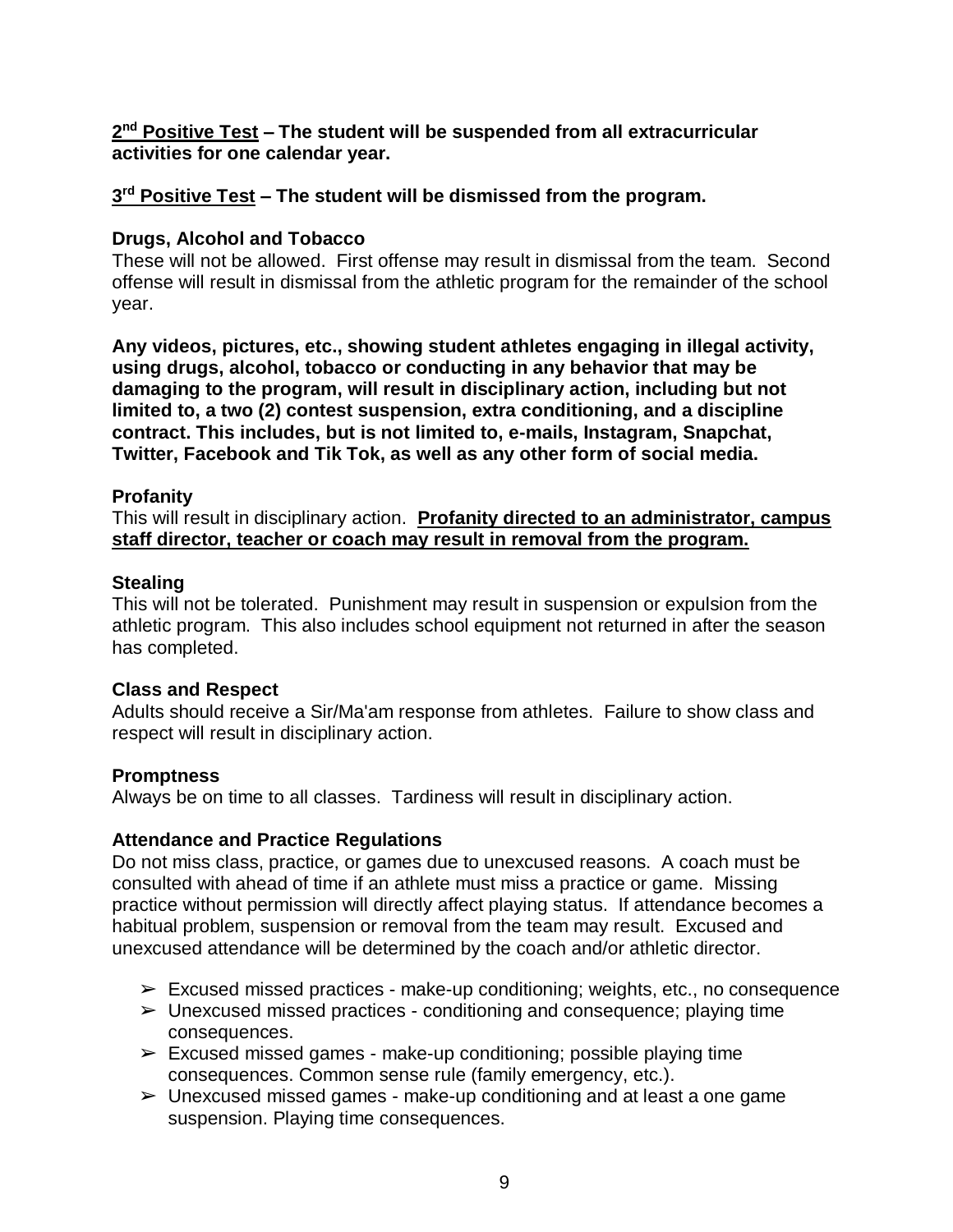#### **2 nd Positive Test – The student will be suspended from all extracurricular activities for one calendar year.**

#### **3 rd Positive Test – The student will be dismissed from the program.**

#### **Drugs, Alcohol and Tobacco**

These will not be allowed. First offense may result in dismissal from the team. Second offense will result in dismissal from the athletic program for the remainder of the school year.

**Any videos, pictures, etc., showing student athletes engaging in illegal activity, using drugs, alcohol, tobacco or conducting in any behavior that may be damaging to the program, will result in disciplinary action, including but not limited to, a two (2) contest suspension, extra conditioning, and a discipline contract. This includes, but is not limited to, e-mails, Instagram, Snapchat, Twitter, Facebook and Tik Tok, as well as any other form of social media.**

#### **Profanity**

This will result in disciplinary action. **Profanity directed to an administrator, campus staff director, teacher or coach may result in removal from the program.**

#### **Stealing**

This will not be tolerated. Punishment may result in suspension or expulsion from the athletic program. This also includes school equipment not returned in after the season has completed.

#### **Class and Respect**

Adults should receive a Sir/Ma'am response from athletes. Failure to show class and respect will result in disciplinary action.

#### **Promptness**

Always be on time to all classes. Tardiness will result in disciplinary action.

#### **Attendance and Practice Regulations**

Do not miss class, practice, or games due to unexcused reasons. A coach must be consulted with ahead of time if an athlete must miss a practice or game. Missing practice without permission will directly affect playing status. If attendance becomes a habitual problem, suspension or removal from the team may result. Excused and unexcused attendance will be determined by the coach and/or athletic director.

- $\triangleright$  Excused missed practices make-up conditioning; weights, etc., no consequence
- $\triangleright$  Unexcused missed practices conditioning and consequence; playing time consequences.
- $\geq$  Excused missed games make-up conditioning; possible playing time consequences. Common sense rule (family emergency, etc.).
- $\triangleright$  Unexcused missed games make-up conditioning and at least a one game suspension. Playing time consequences.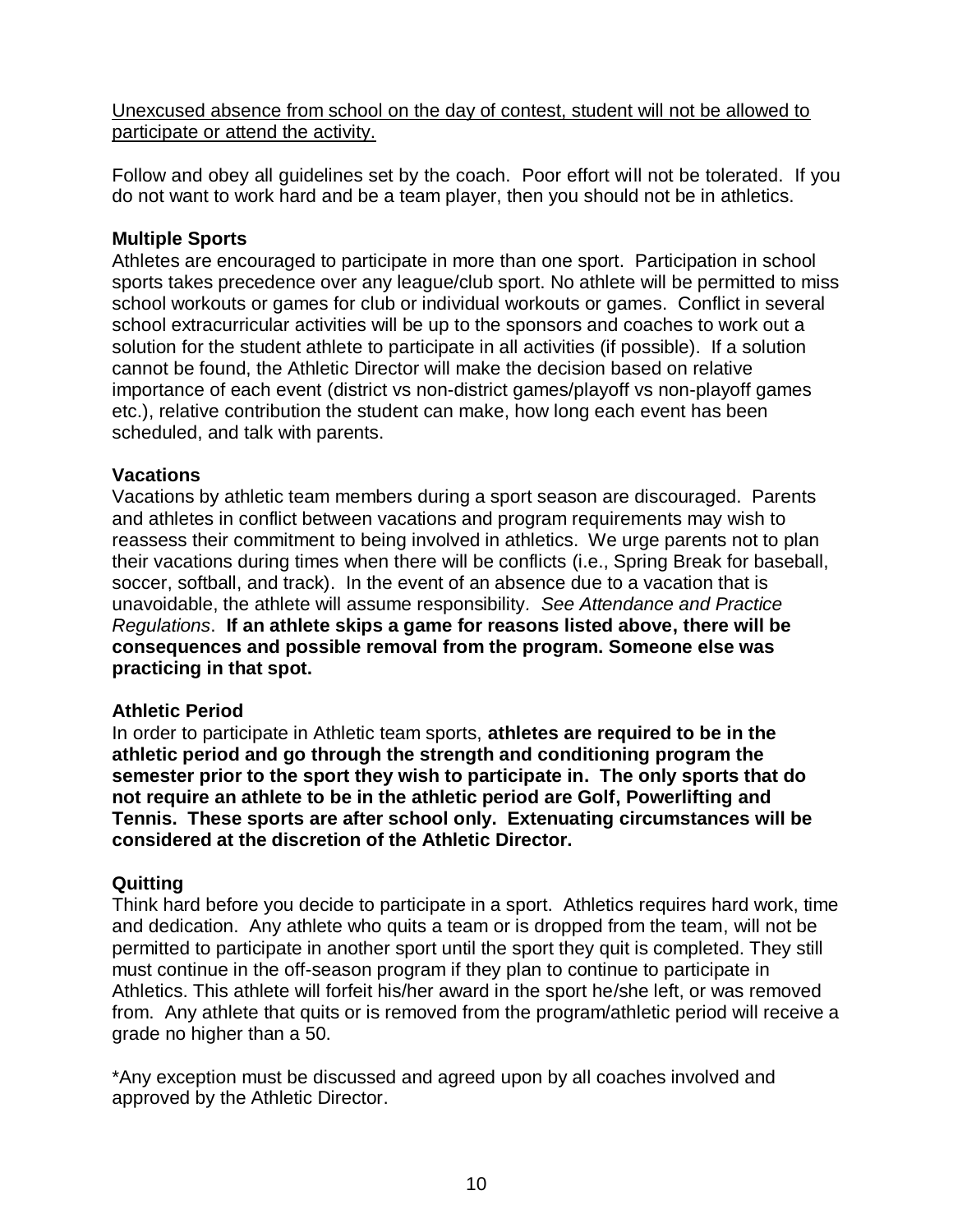Unexcused absence from school on the day of contest, student will not be allowed to participate or attend the activity.

Follow and obey all guidelines set by the coach. Poor effort will not be tolerated. If you do not want to work hard and be a team player, then you should not be in athletics.

#### **Multiple Sports**

Athletes are encouraged to participate in more than one sport. Participation in school sports takes precedence over any league/club sport. No athlete will be permitted to miss school workouts or games for club or individual workouts or games. Conflict in several school extracurricular activities will be up to the sponsors and coaches to work out a solution for the student athlete to participate in all activities (if possible). If a solution cannot be found, the Athletic Director will make the decision based on relative importance of each event (district vs non-district games/playoff vs non-playoff games etc.), relative contribution the student can make, how long each event has been scheduled, and talk with parents.

#### **Vacations**

Vacations by athletic team members during a sport season are discouraged. Parents and athletes in conflict between vacations and program requirements may wish to reassess their commitment to being involved in athletics. We urge parents not to plan their vacations during times when there will be conflicts (i.e., Spring Break for baseball, soccer, softball, and track). In the event of an absence due to a vacation that is unavoidable, the athlete will assume responsibility*. See Attendance and Practice Regulations*. **If an athlete skips a game for reasons listed above, there will be consequences and possible removal from the program. Someone else was practicing in that spot.** 

#### **Athletic Period**

In order to participate in Athletic team sports, **athletes are required to be in the athletic period and go through the strength and conditioning program the semester prior to the sport they wish to participate in. The only sports that do not require an athlete to be in the athletic period are Golf, Powerlifting and Tennis. These sports are after school only. Extenuating circumstances will be considered at the discretion of the Athletic Director.**

#### **Quitting**

Think hard before you decide to participate in a sport. Athletics requires hard work, time and dedication. Any athlete who quits a team or is dropped from the team, will not be permitted to participate in another sport until the sport they quit is completed. They still must continue in the off-season program if they plan to continue to participate in Athletics. This athlete will forfeit his/her award in the sport he/she left, or was removed from. Any athlete that quits or is removed from the program/athletic period will receive a grade no higher than a 50.

\*Any exception must be discussed and agreed upon by all coaches involved and approved by the Athletic Director.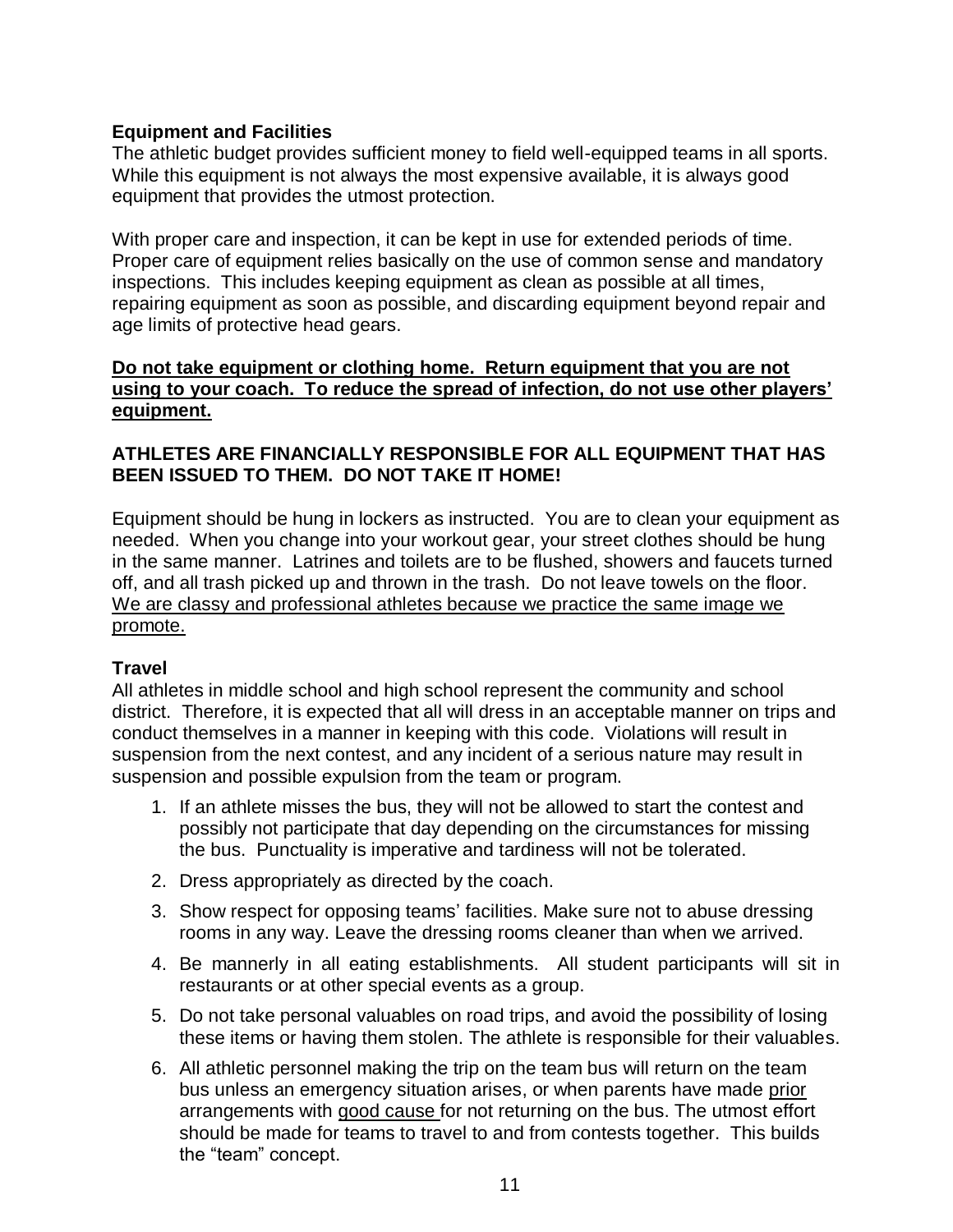#### **Equipment and Facilities**

The athletic budget provides sufficient money to field well-equipped teams in all sports. While this equipment is not always the most expensive available, it is always good equipment that provides the utmost protection.

With proper care and inspection, it can be kept in use for extended periods of time. Proper care of equipment relies basically on the use of common sense and mandatory inspections. This includes keeping equipment as clean as possible at all times, repairing equipment as soon as possible, and discarding equipment beyond repair and age limits of protective head gears.

#### **Do not take equipment or clothing home. Return equipment that you are not using to your coach. To reduce the spread of infection, do not use other players' equipment.**

#### **ATHLETES ARE FINANCIALLY RESPONSIBLE FOR ALL EQUIPMENT THAT HAS BEEN ISSUED TO THEM. DO NOT TAKE IT HOME!**

Equipment should be hung in lockers as instructed. You are to clean your equipment as needed. When you change into your workout gear, your street clothes should be hung in the same manner. Latrines and toilets are to be flushed, showers and faucets turned off, and all trash picked up and thrown in the trash. Do not leave towels on the floor. We are classy and professional athletes because we practice the same image we promote.

#### **Travel**

All athletes in middle school and high school represent the community and school district. Therefore, it is expected that all will dress in an acceptable manner on trips and conduct themselves in a manner in keeping with this code. Violations will result in suspension from the next contest, and any incident of a serious nature may result in suspension and possible expulsion from the team or program.

- 1. If an athlete misses the bus, they will not be allowed to start the contest and possibly not participate that day depending on the circumstances for missing the bus. Punctuality is imperative and tardiness will not be tolerated.
- 2. Dress appropriately as directed by the coach.
- 3. Show respect for opposing teams' facilities. Make sure not to abuse dressing rooms in any way. Leave the dressing rooms cleaner than when we arrived.
- 4. Be mannerly in all eating establishments. All student participants will sit in restaurants or at other special events as a group.
- 5. Do not take personal valuables on road trips, and avoid the possibility of losing these items or having them stolen. The athlete is responsible for their valuables.
- 6. All athletic personnel making the trip on the team bus will return on the team bus unless an emergency situation arises, or when parents have made prior arrangements with good cause for not returning on the bus. The utmost effort should be made for teams to travel to and from contests together. This builds the "team" concept.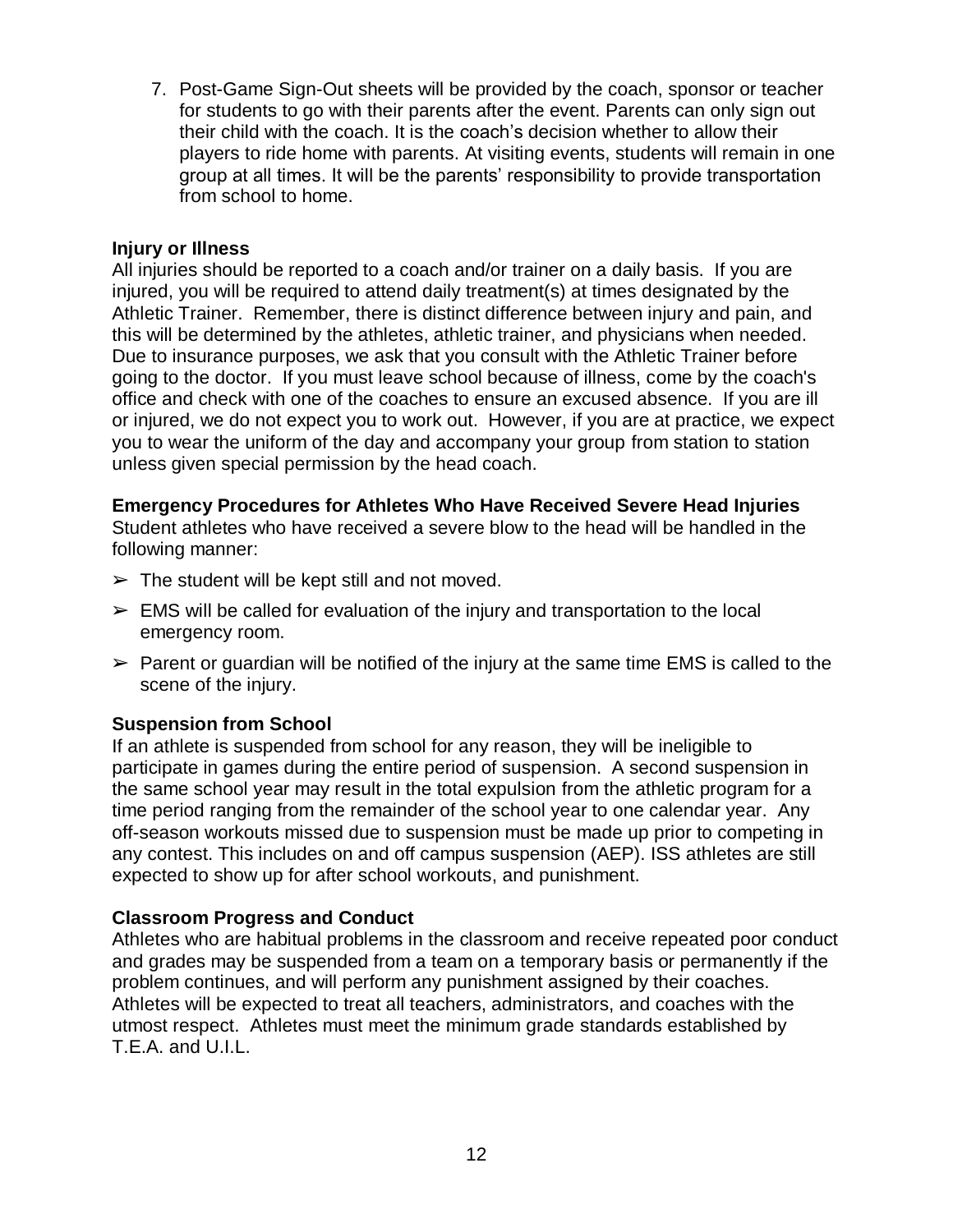7. Post-Game Sign-Out sheets will be provided by the coach, sponsor or teacher for students to go with their parents after the event. Parents can only sign out their child with the coach. It is the coach's decision whether to allow their players to ride home with parents. At visiting events, students will remain in one group at all times. It will be the parents' responsibility to provide transportation from school to home.

#### **Injury or Illness**

All injuries should be reported to a coach and/or trainer on a daily basis. If you are injured, you will be required to attend daily treatment(s) at times designated by the Athletic Trainer. Remember, there is distinct difference between injury and pain, and this will be determined by the athletes, athletic trainer, and physicians when needed. Due to insurance purposes, we ask that you consult with the Athletic Trainer before going to the doctor. If you must leave school because of illness, come by the coach's office and check with one of the coaches to ensure an excused absence. If you are ill or injured, we do not expect you to work out. However, if you are at practice, we expect you to wear the uniform of the day and accompany your group from station to station unless given special permission by the head coach.

#### **Emergency Procedures for Athletes Who Have Received Severe Head Injuries**

Student athletes who have received a severe blow to the head will be handled in the following manner:

- $\triangleright$  The student will be kept still and not moved.
- $\triangleright$  EMS will be called for evaluation of the injury and transportation to the local emergency room.
- $\triangleright$  Parent or guardian will be notified of the injury at the same time EMS is called to the scene of the injury.

#### **Suspension from School**

If an athlete is suspended from school for any reason, they will be ineligible to participate in games during the entire period of suspension. A second suspension in the same school year may result in the total expulsion from the athletic program for a time period ranging from the remainder of the school year to one calendar year. Any off-season workouts missed due to suspension must be made up prior to competing in any contest. This includes on and off campus suspension (AEP). ISS athletes are still expected to show up for after school workouts, and punishment.

#### **Classroom Progress and Conduct**

Athletes who are habitual problems in the classroom and receive repeated poor conduct and grades may be suspended from a team on a temporary basis or permanently if the problem continues, and will perform any punishment assigned by their coaches. Athletes will be expected to treat all teachers, administrators, and coaches with the utmost respect. Athletes must meet the minimum grade standards established by T.E.A. and U.I.L.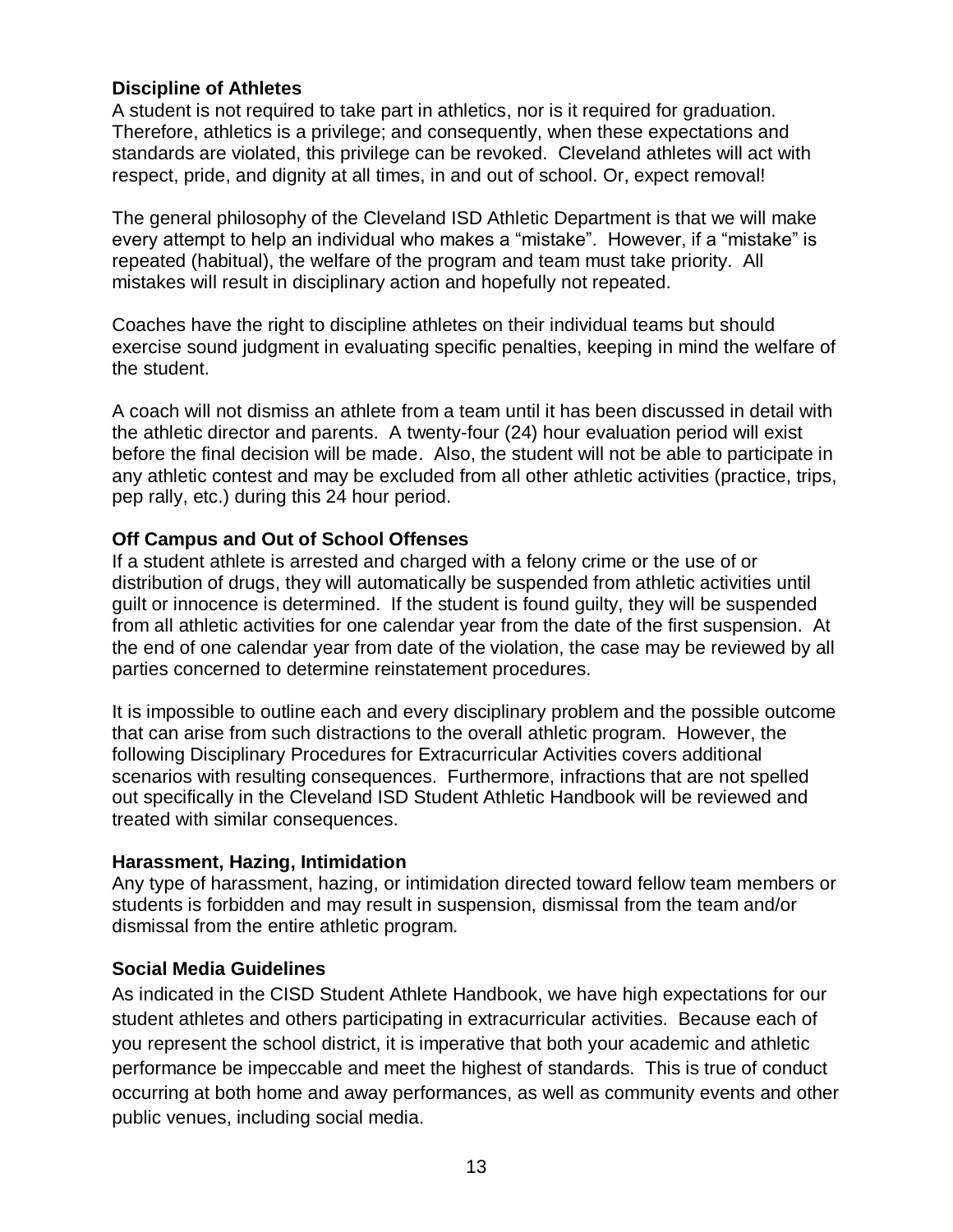#### **Discipline of Athletes**

A student is not required to take part in athletics, nor is it required for graduation. Therefore, athletics is a privilege; and consequently, when these expectations and standards are violated, this privilege can be revoked. Cleveland athletes will act with respect, pride, and dignity at all times, in and out of school. Or, expect removal!

The general philosophy of the Cleveland ISD Athletic Department is that we will make every attempt to help an individual who makes a "mistake". However, if a "mistake" is repeated (habitual), the welfare of the program and team must take priority. All mistakes will result in disciplinary action and hopefully not repeated.

Coaches have the right to discipline athletes on their individual teams but should exercise sound judgment in evaluating specific penalties, keeping in mind the welfare of the student.

A coach will not dismiss an athlete from a team until it has been discussed in detail with the athletic director and parents. A twenty-four (24) hour evaluation period will exist before the final decision will be made. Also, the student will not be able to participate in any athletic contest and may be excluded from all other athletic activities (practice, trips, pep rally, etc.) during this 24 hour period.

#### **Off Campus and Out of School Offenses**

If a student athlete is arrested and charged with a felony crime or the use of or distribution of drugs, they will automatically be suspended from athletic activities until guilt or innocence is determined. If the student is found guilty, they will be suspended from all athletic activities for one calendar year from the date of the first suspension. At the end of one calendar year from date of the violation, the case may be reviewed by all parties concerned to determine reinstatement procedures.

It is impossible to outline each and every disciplinary problem and the possible outcome that can arise from such distractions to the overall athletic program. However, the following Disciplinary Procedures for Extracurricular Activities covers additional scenarios with resulting consequences. Furthermore, infractions that are not spelled out specifically in the Cleveland ISD Student Athletic Handbook will be reviewed and treated with similar consequences.

#### **Harassment, Hazing, Intimidation**

Any type of harassment, hazing, or intimidation directed toward fellow team members or students is forbidden and may result in suspension, dismissal from the team and/or dismissal from the entire athletic program.

#### **Social Media Guidelines**

As indicated in the CISD Student Athlete Handbook, we have high expectations for our student athletes and others participating in extracurricular activities. Because each of you represent the school district, it is imperative that both your academic and athletic performance be impeccable and meet the highest of standards. This is true of conduct occurring at both home and away performances, as well as community events and other public venues, including social media.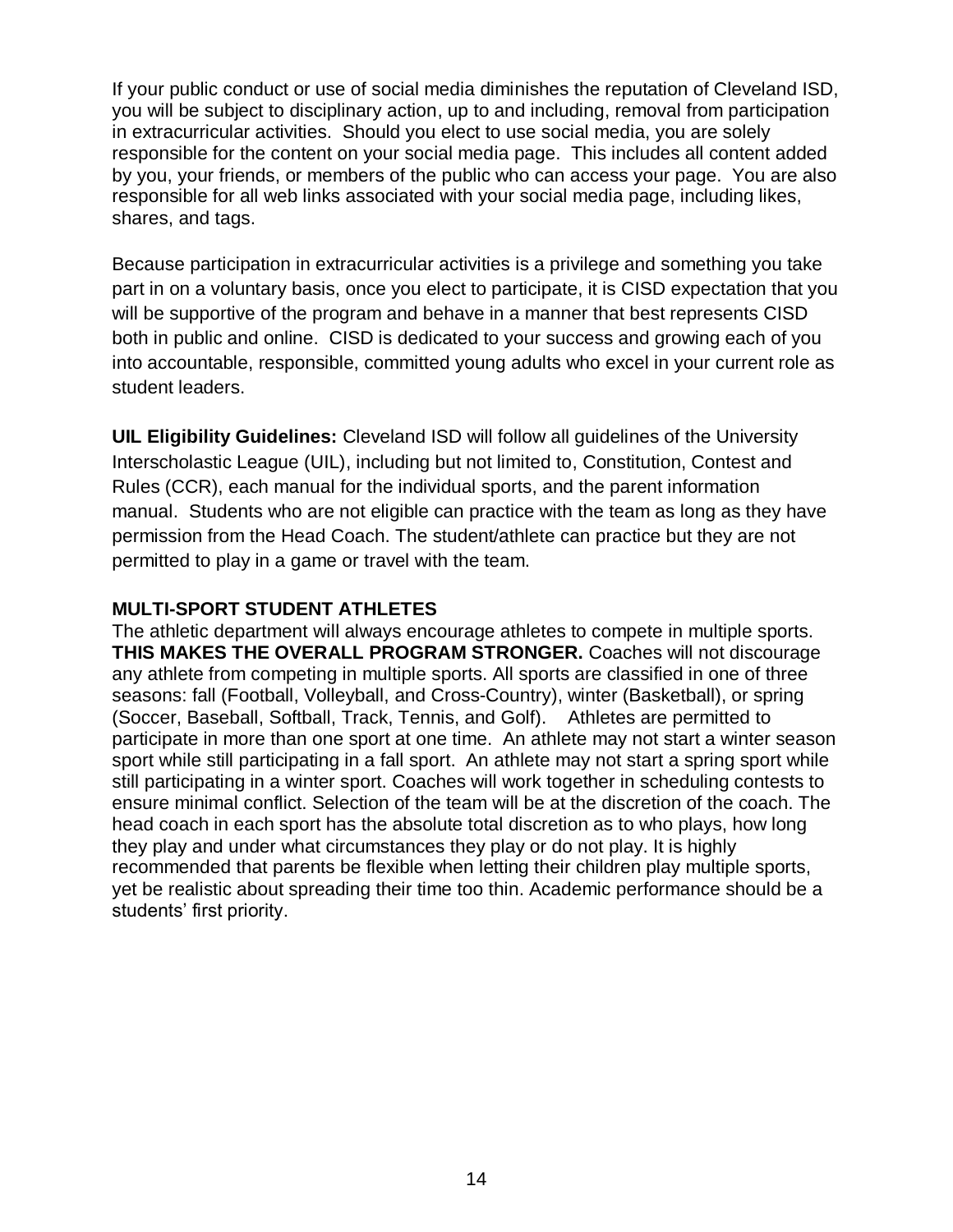If your public conduct or use of social media diminishes the reputation of Cleveland ISD, you will be subject to disciplinary action, up to and including, removal from participation in extracurricular activities. Should you elect to use social media, you are solely responsible for the content on your social media page. This includes all content added by you, your friends, or members of the public who can access your page. You are also responsible for all web links associated with your social media page, including likes, shares, and tags.

Because participation in extracurricular activities is a privilege and something you take part in on a voluntary basis, once you elect to participate, it is CISD expectation that you will be supportive of the program and behave in a manner that best represents CISD both in public and online. CISD is dedicated to your success and growing each of you into accountable, responsible, committed young adults who excel in your current role as student leaders.

**UIL Eligibility Guidelines:** Cleveland ISD will follow all guidelines of the University Interscholastic League (UIL), including but not limited to, Constitution, Contest and Rules (CCR), each manual for the individual sports, and the parent information manual. Students who are not eligible can practice with the team as long as they have permission from the Head Coach. The student/athlete can practice but they are not permitted to play in a game or travel with the team.

#### **MULTI-SPORT STUDENT ATHLETES**

The athletic department will always encourage athletes to compete in multiple sports. **THIS MAKES THE OVERALL PROGRAM STRONGER.** Coaches will not discourage any athlete from competing in multiple sports. All sports are classified in one of three seasons: fall (Football, Volleyball, and Cross-Country), winter (Basketball), or spring (Soccer, Baseball, Softball, Track, Tennis, and Golf). Athletes are permitted to participate in more than one sport at one time. An athlete may not start a winter season sport while still participating in a fall sport. An athlete may not start a spring sport while still participating in a winter sport. Coaches will work together in scheduling contests to ensure minimal conflict. Selection of the team will be at the discretion of the coach. The head coach in each sport has the absolute total discretion as to who plays, how long they play and under what circumstances they play or do not play. It is highly recommended that parents be flexible when letting their children play multiple sports, yet be realistic about spreading their time too thin. Academic performance should be a students' first priority.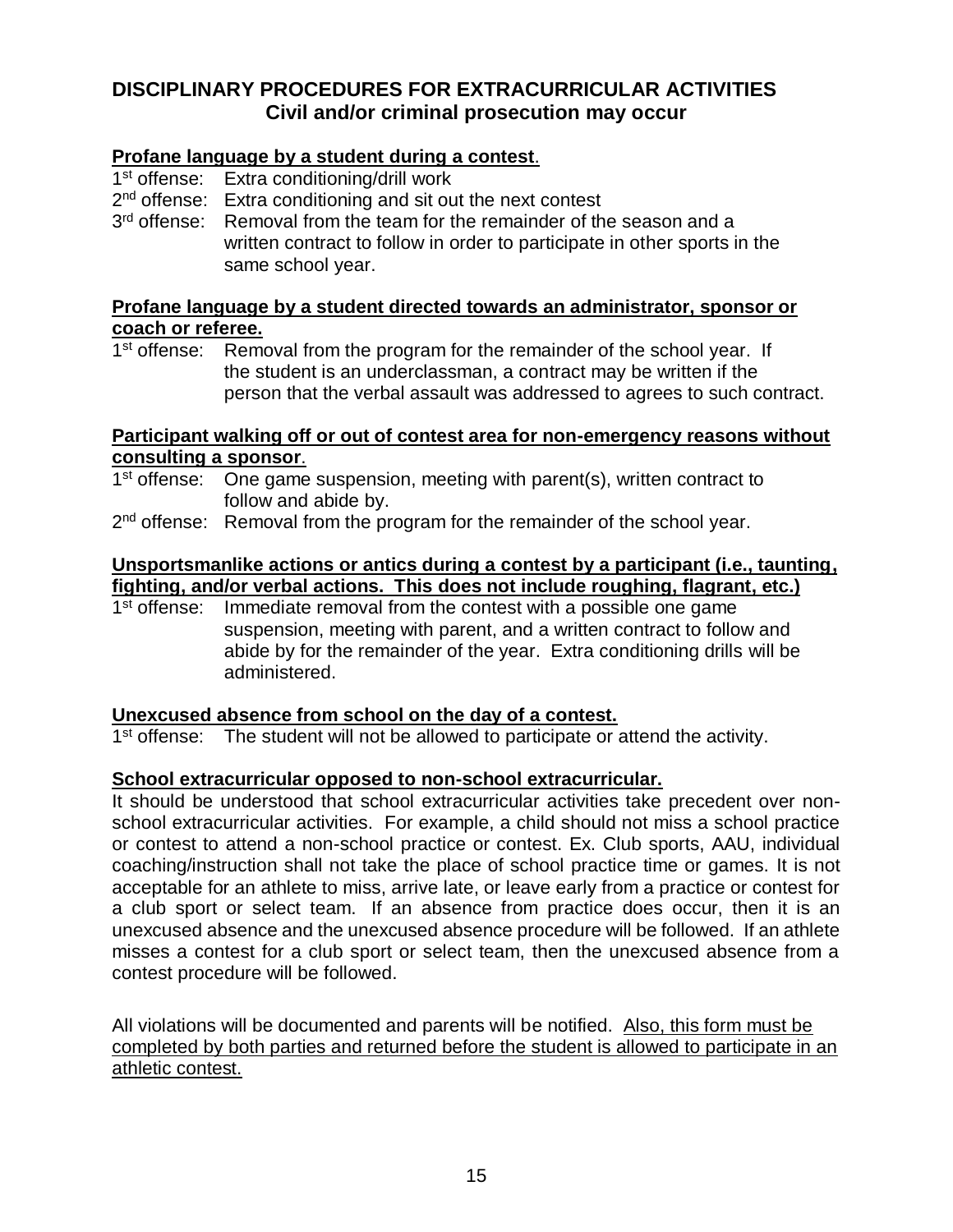#### **DISCIPLINARY PROCEDURES FOR EXTRACURRICULAR ACTIVITIES Civil and/or criminal prosecution may occur**

#### **Profane language by a student during a contest**.

- 1<sup>st</sup> offense: Extra conditioning/drill work
- 2<sup>nd</sup> offense: Extra conditioning and sit out the next contest
- 3<sup>rd</sup> offense: Removal from the team for the remainder of the season and a written contract to follow in order to participate in other sports in the same school year.

#### **Profane language by a student directed towards an administrator, sponsor or coach or referee.**

1<sup>st</sup> offense: Removal from the program for the remainder of the school year. If the student is an underclassman, a contract may be written if the person that the verbal assault was addressed to agrees to such contract.

#### **Participant walking off or out of contest area for non-emergency reasons without consulting a sponsor**.

- 1<sup>st</sup> offense: One game suspension, meeting with parent(s), written contract to follow and abide by.
- 2<sup>nd</sup> offense: Removal from the program for the remainder of the school year.

#### **Unsportsmanlike actions or antics during a contest by a participant (i.e., taunting, fighting, and/or verbal actions. This does not include roughing, flagrant, etc.)**

1<sup>st</sup> offense: Immediate removal from the contest with a possible one game suspension, meeting with parent, and a written contract to follow and abide by for the remainder of the year. Extra conditioning drills will be administered.

#### **Unexcused absence from school on the day of a contest.**

1<sup>st</sup> offense: The student will not be allowed to participate or attend the activity.

#### **School extracurricular opposed to non-school extracurricular.**

It should be understood that school extracurricular activities take precedent over nonschool extracurricular activities. For example, a child should not miss a school practice or contest to attend a non-school practice or contest. Ex. Club sports, AAU, individual coaching/instruction shall not take the place of school practice time or games. It is not acceptable for an athlete to miss, arrive late, or leave early from a practice or contest for a club sport or select team. If an absence from practice does occur, then it is an unexcused absence and the unexcused absence procedure will be followed. If an athlete misses a contest for a club sport or select team, then the unexcused absence from a contest procedure will be followed.

All violations will be documented and parents will be notified. Also, this form must be completed by both parties and returned before the student is allowed to participate in an athletic contest.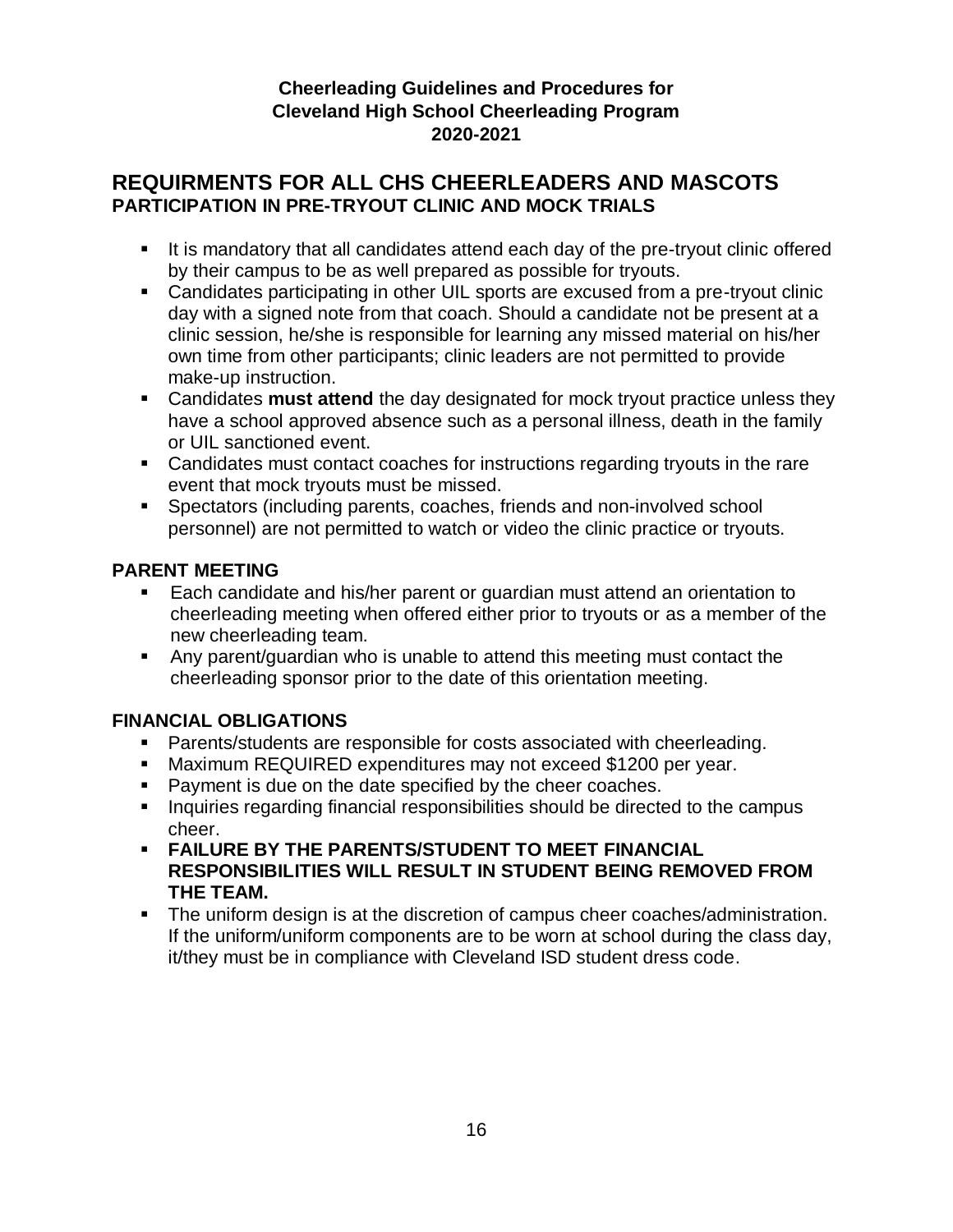#### **Cheerleading Guidelines and Procedures for Cleveland High School Cheerleading Program 2020-2021**

#### **REQUIRMENTS FOR ALL CHS CHEERLEADERS AND MASCOTS PARTICIPATION IN PRE-TRYOUT CLINIC AND MOCK TRIALS**

- It is mandatory that all candidates attend each day of the pre-tryout clinic offered by their campus to be as well prepared as possible for tryouts.
- Candidates participating in other UIL sports are excused from a pre-tryout clinic day with a signed note from that coach. Should a candidate not be present at a clinic session, he/she is responsible for learning any missed material on his/her own time from other participants; clinic leaders are not permitted to provide make-up instruction.
- Candidates **must attend** the day designated for mock tryout practice unless they have a school approved absence such as a personal illness, death in the family or UIL sanctioned event.
- Candidates must contact coaches for instructions regarding tryouts in the rare event that mock tryouts must be missed.
- Spectators (including parents, coaches, friends and non-involved school personnel) are not permitted to watch or video the clinic practice or tryouts.

#### **PARENT MEETING**

- Each candidate and his/her parent or guardian must attend an orientation to cheerleading meeting when offered either prior to tryouts or as a member of the new cheerleading team.
- Any parent/guardian who is unable to attend this meeting must contact the cheerleading sponsor prior to the date of this orientation meeting.

#### **FINANCIAL OBLIGATIONS**

- Parents/students are responsible for costs associated with cheerleading.
- Maximum REQUIRED expenditures may not exceed \$1200 per year.
- **Payment is due on the date specified by the cheer coaches.**
- **Inquiries regarding financial responsibilities should be directed to the campus** cheer.
- **FAILURE BY THE PARENTS/STUDENT TO MEET FINANCIAL RESPONSIBILITIES WILL RESULT IN STUDENT BEING REMOVED FROM THE TEAM.**
- The uniform design is at the discretion of campus cheer coaches/administration. If the uniform/uniform components are to be worn at school during the class day, it/they must be in compliance with Cleveland ISD student dress code.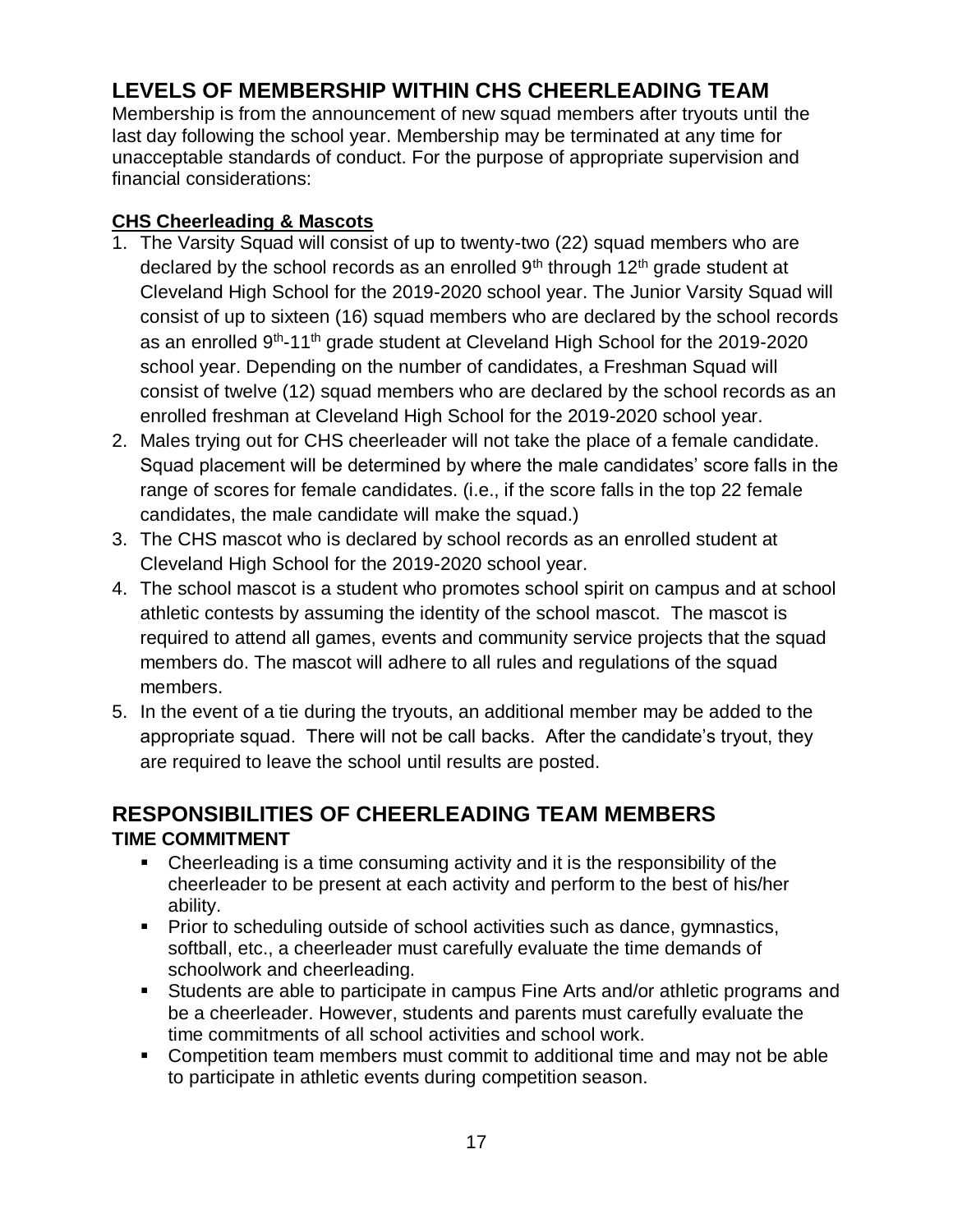## **LEVELS OF MEMBERSHIP WITHIN CHS CHEERLEADING TEAM**

Membership is from the announcement of new squad members after tryouts until the last day following the school year. Membership may be terminated at any time for unacceptable standards of conduct. For the purpose of appropriate supervision and financial considerations:

#### **CHS Cheerleading & Mascots**

- 1. The Varsity Squad will consist of up to twenty-two (22) squad members who are declared by the school records as an enrolled  $9<sup>th</sup>$  through 12<sup>th</sup> grade student at Cleveland High School for the 2019-2020 school year. The Junior Varsity Squad will consist of up to sixteen (16) squad members who are declared by the school records as an enrolled 9<sup>th</sup>-11<sup>th</sup> grade student at Cleveland High School for the 2019-2020 school year. Depending on the number of candidates, a Freshman Squad will consist of twelve (12) squad members who are declared by the school records as an enrolled freshman at Cleveland High School for the 2019-2020 school year.
- 2. Males trying out for CHS cheerleader will not take the place of a female candidate. Squad placement will be determined by where the male candidates' score falls in the range of scores for female candidates. (i.e., if the score falls in the top 22 female candidates, the male candidate will make the squad.)
- 3. The CHS mascot who is declared by school records as an enrolled student at Cleveland High School for the 2019-2020 school year.
- 4. The school mascot is a student who promotes school spirit on campus and at school athletic contests by assuming the identity of the school mascot. The mascot is required to attend all games, events and community service projects that the squad members do. The mascot will adhere to all rules and regulations of the squad members.
- 5. In the event of a tie during the tryouts, an additional member may be added to the appropriate squad. There will not be call backs. After the candidate's tryout, they are required to leave the school until results are posted.

#### **RESPONSIBILITIES OF CHEERLEADING TEAM MEMBERS TIME COMMITMENT**

- Cheerleading is a time consuming activity and it is the responsibility of the cheerleader to be present at each activity and perform to the best of his/her ability.
- Prior to scheduling outside of school activities such as dance, gymnastics, softball, etc., a cheerleader must carefully evaluate the time demands of schoolwork and cheerleading.
- Students are able to participate in campus Fine Arts and/or athletic programs and be a cheerleader. However, students and parents must carefully evaluate the time commitments of all school activities and school work.
- Competition team members must commit to additional time and may not be able to participate in athletic events during competition season.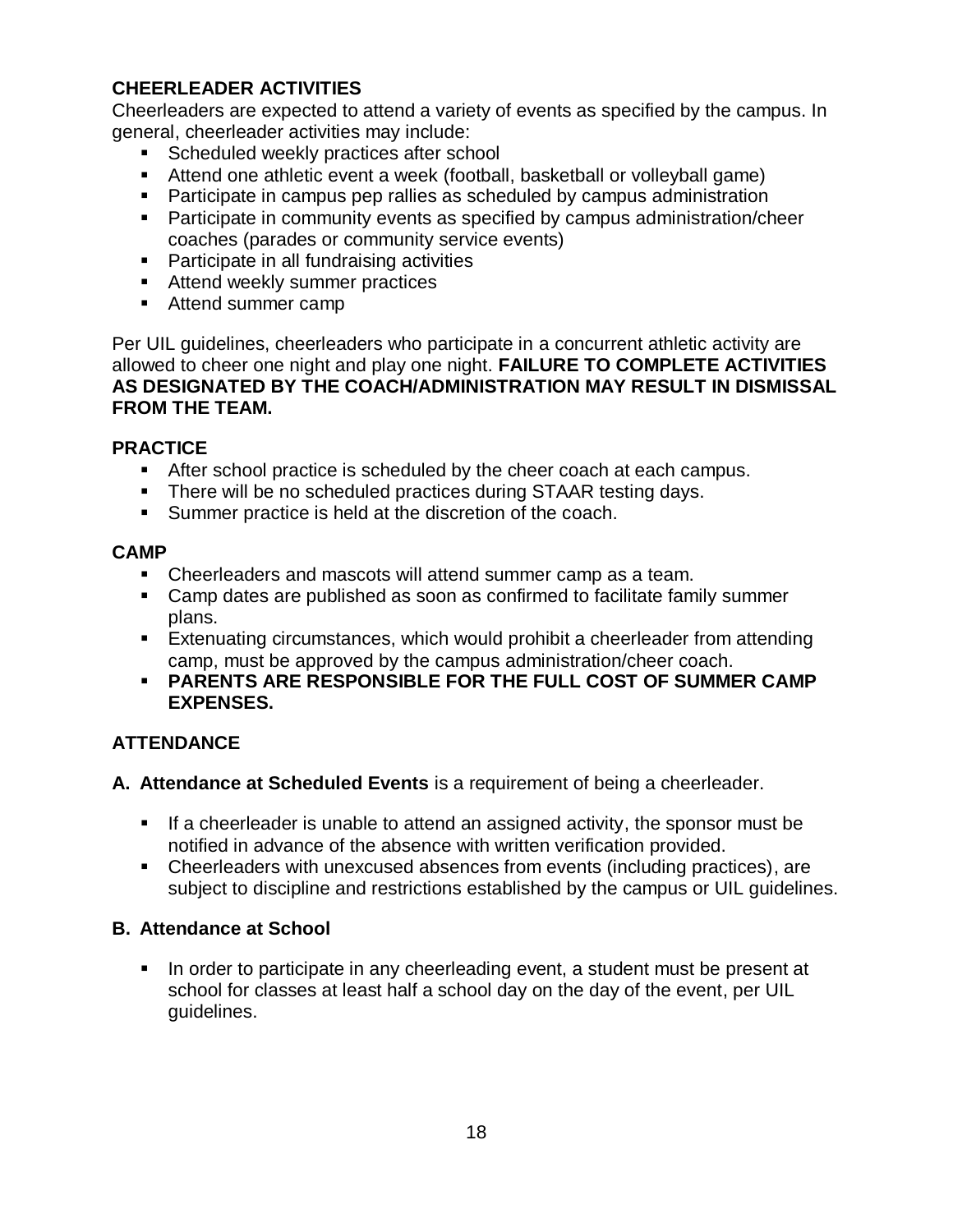#### **CHEERLEADER ACTIVITIES**

Cheerleaders are expected to attend a variety of events as specified by the campus. In general, cheerleader activities may include:

- **Scheduled weekly practices after school**
- Attend one athletic event a week (football, basketball or volleyball game)
- Participate in campus pep rallies as scheduled by campus administration
- Participate in community events as specified by campus administration/cheer coaches (parades or community service events)
- **Participate in all fundraising activities**
- **Attend weekly summer practices**
- Attend summer camp

Per UIL guidelines, cheerleaders who participate in a concurrent athletic activity are allowed to cheer one night and play one night. **FAILURE TO COMPLETE ACTIVITIES AS DESIGNATED BY THE COACH/ADMINISTRATION MAY RESULT IN DISMISSAL FROM THE TEAM.**

#### **PRACTICE**

- After school practice is scheduled by the cheer coach at each campus.
- There will be no scheduled practices during STAAR testing days.
- **Summer practice is held at the discretion of the coach.**

#### **CAMP**

- Cheerleaders and mascots will attend summer camp as a team.
- Camp dates are published as soon as confirmed to facilitate family summer plans.
- Extenuating circumstances, which would prohibit a cheerleader from attending camp, must be approved by the campus administration/cheer coach.
- **PARENTS ARE RESPONSIBLE FOR THE FULL COST OF SUMMER CAMP EXPENSES.**

#### **ATTENDANCE**

- **A. Attendance at Scheduled Events** is a requirement of being a cheerleader.
	- If a cheerleader is unable to attend an assigned activity, the sponsor must be notified in advance of the absence with written verification provided.
	- Cheerleaders with unexcused absences from events (including practices), are subject to discipline and restrictions established by the campus or UIL guidelines.

#### **B. Attendance at School**

In order to participate in any cheerleading event, a student must be present at school for classes at least half a school day on the day of the event, per UIL guidelines.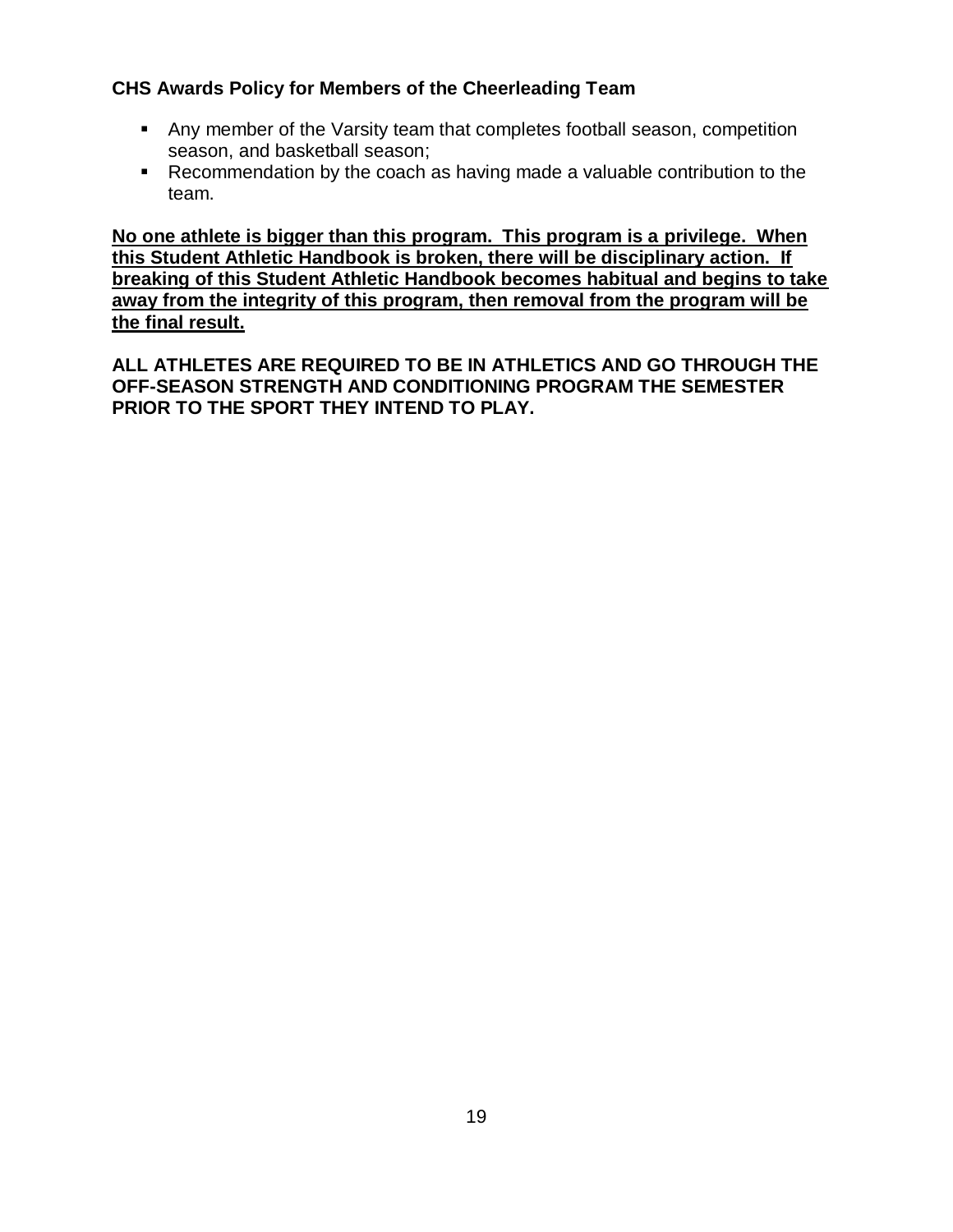#### **CHS Awards Policy for Members of the Cheerleading Team**

- Any member of the Varsity team that completes football season, competition season, and basketball season;
- Recommendation by the coach as having made a valuable contribution to the team.

**No one athlete is bigger than this program. This program is a privilege. When this Student Athletic Handbook is broken, there will be disciplinary action. If breaking of this Student Athletic Handbook becomes habitual and begins to take away from the integrity of this program, then removal from the program will be the final result.**

**ALL ATHLETES ARE REQUIRED TO BE IN ATHLETICS AND GO THROUGH THE OFF-SEASON STRENGTH AND CONDITIONING PROGRAM THE SEMESTER PRIOR TO THE SPORT THEY INTEND TO PLAY.**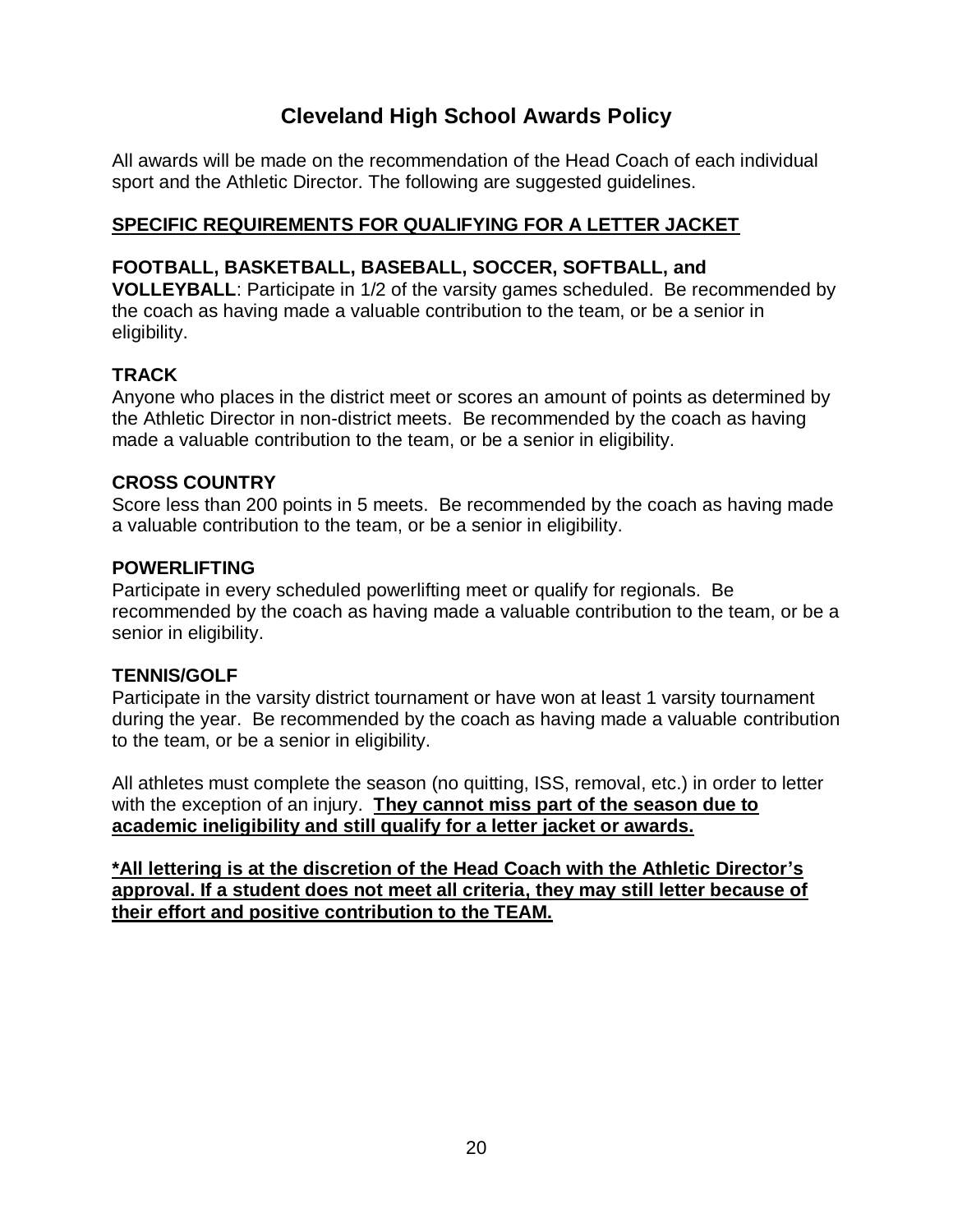## **Cleveland High School Awards Policy**

All awards will be made on the recommendation of the Head Coach of each individual sport and the Athletic Director. The following are suggested guidelines.

#### **SPECIFIC REQUIREMENTS FOR QUALIFYING FOR A LETTER JACKET**

#### **FOOTBALL, BASKETBALL, BASEBALL, SOCCER, SOFTBALL, and**

**VOLLEYBALL**: Participate in 1/2 of the varsity games scheduled. Be recommended by the coach as having made a valuable contribution to the team, or be a senior in eligibility.

#### **TRACK**

Anyone who places in the district meet or scores an amount of points as determined by the Athletic Director in non-district meets. Be recommended by the coach as having made a valuable contribution to the team, or be a senior in eligibility.

#### **CROSS COUNTRY**

Score less than 200 points in 5 meets. Be recommended by the coach as having made a valuable contribution to the team, or be a senior in eligibility.

#### **POWERLIFTING**

Participate in every scheduled powerlifting meet or qualify for regionals. Be recommended by the coach as having made a valuable contribution to the team, or be a senior in eligibility.

#### **TENNIS/GOLF**

Participate in the varsity district tournament or have won at least 1 varsity tournament during the year. Be recommended by the coach as having made a valuable contribution to the team, or be a senior in eligibility.

All athletes must complete the season (no quitting, ISS, removal, etc.) in order to letter with the exception of an injury. **They cannot miss part of the season due to academic ineligibility and still qualify for a letter jacket or awards.**

**\*All lettering is at the discretion of the Head Coach with the Athletic Director's approval. If a student does not meet all criteria, they may still letter because of their effort and positive contribution to the TEAM.**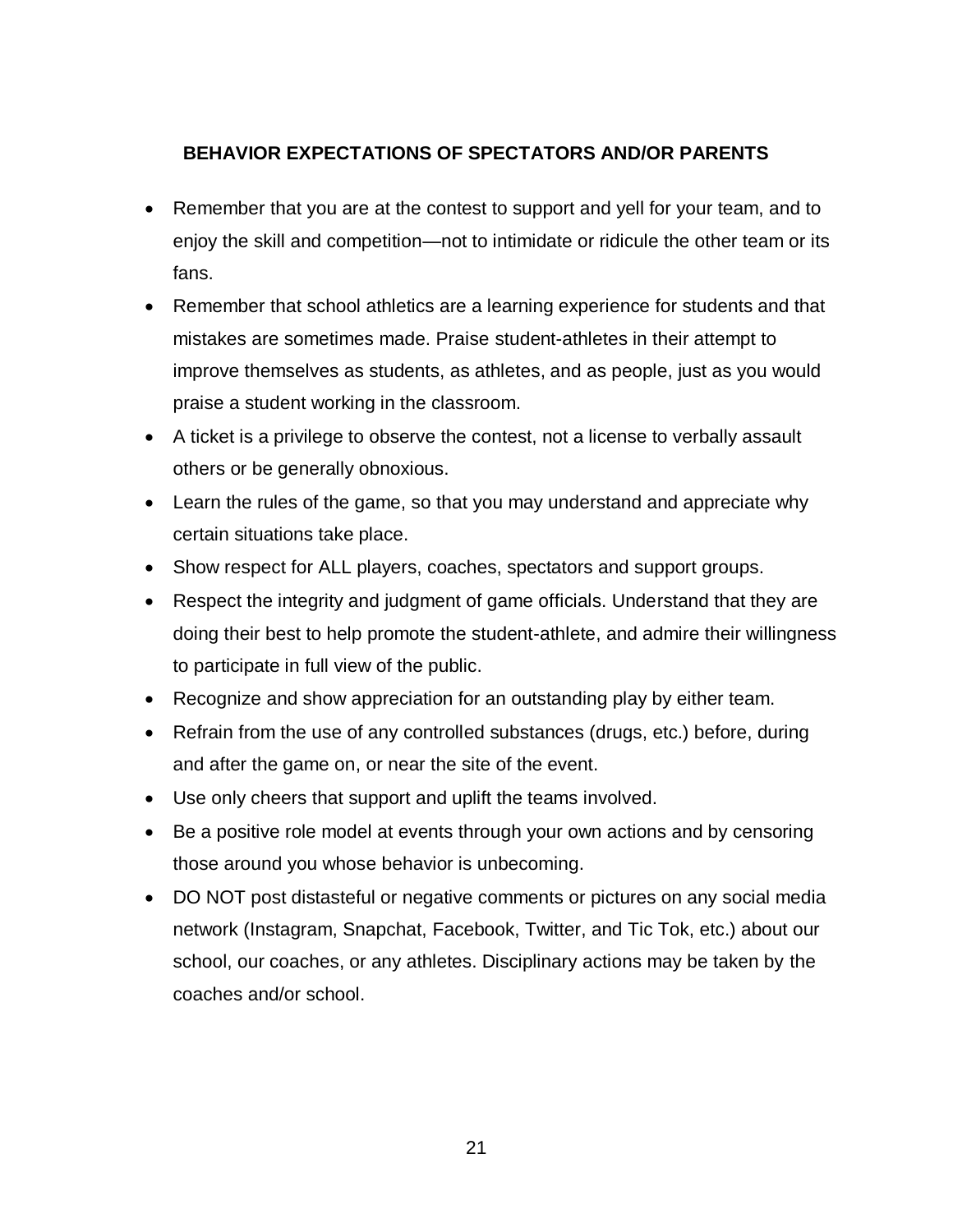#### **BEHAVIOR EXPECTATIONS OF SPECTATORS AND/OR PARENTS**

- Remember that you are at the contest to support and yell for your team, and to enjoy the skill and competition—not to intimidate or ridicule the other team or its fans.
- Remember that school athletics are a learning experience for students and that mistakes are sometimes made. Praise student-athletes in their attempt to improve themselves as students, as athletes, and as people, just as you would praise a student working in the classroom.
- A ticket is a privilege to observe the contest, not a license to verbally assault others or be generally obnoxious.
- Learn the rules of the game, so that you may understand and appreciate why certain situations take place.
- Show respect for ALL players, coaches, spectators and support groups.
- Respect the integrity and judgment of game officials. Understand that they are doing their best to help promote the student-athlete, and admire their willingness to participate in full view of the public.
- Recognize and show appreciation for an outstanding play by either team.
- Refrain from the use of any controlled substances (drugs, etc.) before, during and after the game on, or near the site of the event.
- Use only cheers that support and uplift the teams involved.
- Be a positive role model at events through your own actions and by censoring those around you whose behavior is unbecoming.
- DO NOT post distasteful or negative comments or pictures on any social media network (Instagram, Snapchat, Facebook, Twitter, and Tic Tok, etc.) about our school, our coaches, or any athletes. Disciplinary actions may be taken by the coaches and/or school.